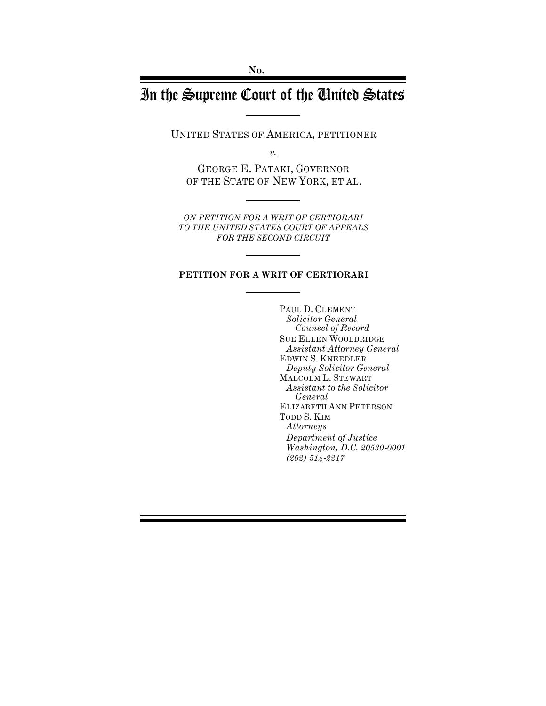# In the Supreme Court of the United States

UNITED STATES OF AMERICA, PETITIONER

*v.*

GEORGE E. PATAKI, GOVERNOR OF THE STATE OF NEW YORK, ET AL.

*ON PETITION FOR A WRIT OF CERTIORARI TO THE UNITED STATES COURT OF APPEALS FOR THE SECOND CIRCUIT*

### **PETITION FOR A WRIT OF CERTIORARI**

PAUL D. CLEMENT *Solicitor General Counsel of Record* SUE ELLEN WOOLDRIDGE *Assistant Attorney General* EDWIN S. KNEEDLER *Deputy Solicitor General* MALCOLM L. STEWART *Assistant to the Solicitor General* ELIZABETH ANN PETERSON TODD S. KIM *Attorneys Department of Justice Washington, D.C. 20530-0001 (202) 514-2217*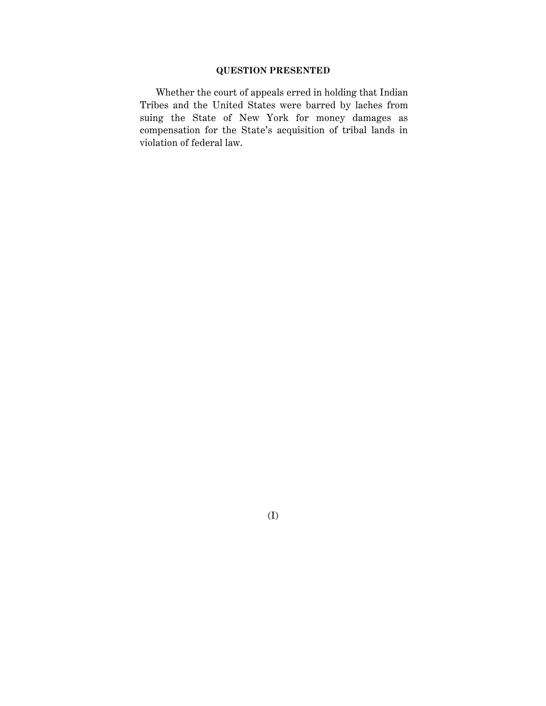# **QUESTION PRESENTED**

Whether the court of appeals erred in holding that Indian Tribes and the United States were barred by laches from suing the State of New York for money damages as compensation for the State's acquisition of tribal lands in violation of federal law.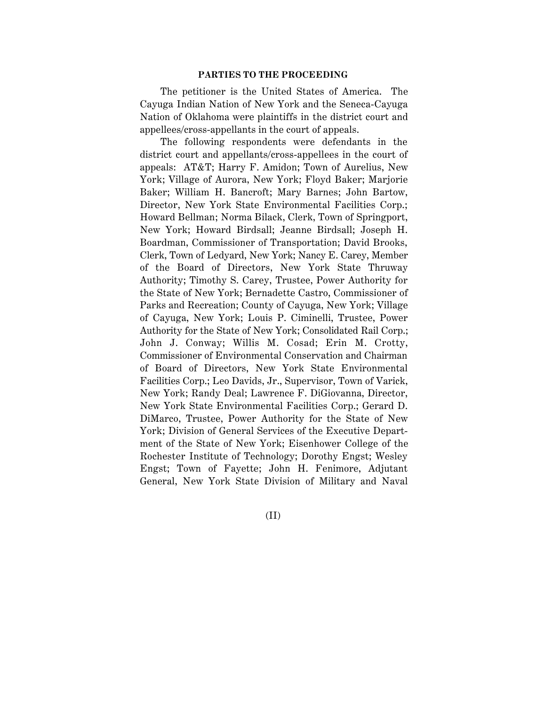#### **PARTIES TO THE PROCEEDING**

The petitioner is the United States of America. The Cayuga Indian Nation of New York and the Seneca-Cayuga Nation of Oklahoma were plaintiffs in the district court and appellees/cross-appellants in the court of appeals.

The following respondents were defendants in the district court and appellants/cross-appellees in the court of appeals: AT&T; Harry F. Amidon; Town of Aurelius, New York; Village of Aurora, New York; Floyd Baker; Marjorie Baker; William H. Bancroft; Mary Barnes; John Bartow, Director, New York State Environmental Facilities Corp.; Howard Bellman; Norma Bilack, Clerk, Town of Springport, New York; Howard Birdsall; Jeanne Birdsall; Joseph H. Boardman, Commissioner of Transportation; David Brooks, Clerk, Town of Ledyard, New York; Nancy E. Carey, Member of the Board of Directors, New York State Thruway Authority; Timothy S. Carey, Trustee, Power Authority for the State of New York; Bernadette Castro, Commissioner of Parks and Recreation; County of Cayuga, New York; Village of Cayuga, New York; Louis P. Ciminelli, Trustee, Power Authority for the State of New York; Consolidated Rail Corp.; John J. Conway; Willis M. Cosad; Erin M. Crotty, Commissioner of Environmental Conservation and Chairman of Board of Directors, New York State Environmental Facilities Corp.; Leo Davids, Jr., Supervisor, Town of Varick, New York; Randy Deal; Lawrence F. DiGiovanna, Director, New York State Environmental Facilities Corp.; Gerard D. DiMarco, Trustee, Power Authority for the State of New York; Division of General Services of the Executive Department of the State of New York; Eisenhower College of the Rochester Institute of Technology; Dorothy Engst; Wesley Engst; Town of Fayette; John H. Fenimore, Adjutant General, New York State Division of Military and Naval

(II)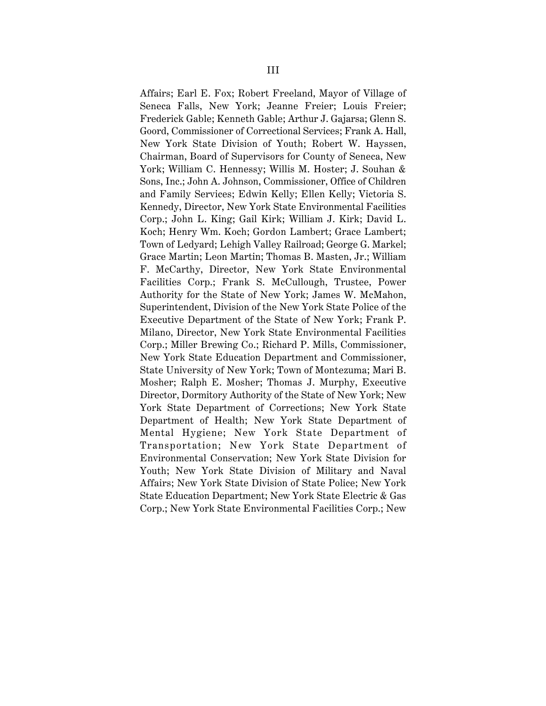Affairs; Earl E. Fox; Robert Freeland, Mayor of Village of Seneca Falls, New York; Jeanne Freier; Louis Freier; Frederick Gable; Kenneth Gable; Arthur J. Gajarsa; Glenn S. Goord, Commissioner of Correctional Services; Frank A. Hall, New York State Division of Youth; Robert W. Hayssen, Chairman, Board of Supervisors for County of Seneca, New York; William C. Hennessy; Willis M. Hoster; J. Souhan & Sons, Inc.; John A. Johnson, Commissioner, Office of Children and Family Services; Edwin Kelly; Ellen Kelly; Victoria S. Kennedy, Director, New York State Environmental Facilities Corp.; John L. King; Gail Kirk; William J. Kirk; David L. Koch; Henry Wm. Koch; Gordon Lambert; Grace Lambert; Town of Ledyard; Lehigh Valley Railroad; George G. Markel; Grace Martin; Leon Martin; Thomas B. Masten, Jr.; William F. McCarthy, Director, New York State Environmental Facilities Corp.; Frank S. McCullough, Trustee, Power Authority for the State of New York; James W. McMahon, Superintendent, Division of the New York State Police of the Executive Department of the State of New York; Frank P. Milano, Director, New York State Environmental Facilities Corp.; Miller Brewing Co.; Richard P. Mills, Commissioner, New York State Education Department and Commissioner, State University of New York; Town of Montezuma; Mari B. Mosher; Ralph E. Mosher; Thomas J. Murphy, Executive Director, Dormitory Authority of the State of New York; New York State Department of Corrections; New York State Department of Health; New York State Department of Mental Hygiene; New York State Department of Transportation; New York State Department of Environmental Conservation; New York State Division for Youth; New York State Division of Military and Naval Affairs; New York State Division of State Police; New York State Education Department; New York State Electric & Gas Corp.; New York State Environmental Facilities Corp.; New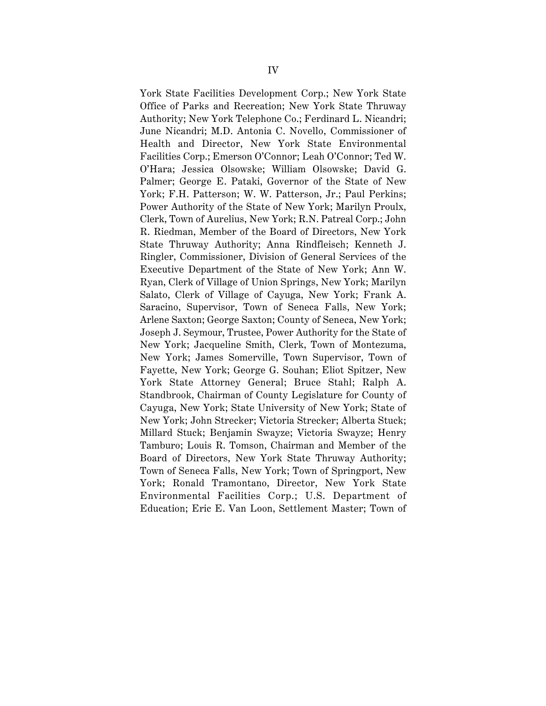York State Facilities Development Corp.; New York State Office of Parks and Recreation; New York State Thruway Authority; New York Telephone Co.; Ferdinard L. Nicandri; June Nicandri; M.D. Antonia C. Novello, Commissioner of Health and Director, New York State Environmental Facilities Corp.; Emerson O'Connor; Leah O'Connor; Ted W. O'Hara; Jessica Olsowske; William Olsowske; David G. Palmer; George E. Pataki, Governor of the State of New York; F.H. Patterson; W. W. Patterson, Jr.; Paul Perkins; Power Authority of the State of New York; Marilyn Proulx, Clerk, Town of Aurelius, New York; R.N. Patreal Corp.; John R. Riedman, Member of the Board of Directors, New York State Thruway Authority; Anna Rindfleisch; Kenneth J. Ringler, Commissioner, Division of General Services of the Executive Department of the State of New York; Ann W. Ryan, Clerk of Village of Union Springs, New York; Marilyn Salato, Clerk of Village of Cayuga, New York; Frank A. Saracino, Supervisor, Town of Seneca Falls, New York; Arlene Saxton; George Saxton; County of Seneca, New York; Joseph J. Seymour, Trustee, Power Authority for the State of New York; Jacqueline Smith, Clerk, Town of Montezuma, New York; James Somerville, Town Supervisor, Town of Fayette, New York; George G. Souhan; Eliot Spitzer, New York State Attorney General; Bruce Stahl; Ralph A. Standbrook, Chairman of County Legislature for County of Cayuga, New York; State University of New York; State of New York; John Strecker; Victoria Strecker; Alberta Stuck; Millard Stuck; Benjamin Swayze; Victoria Swayze; Henry Tamburo; Louis R. Tomson, Chairman and Member of the Board of Directors, New York State Thruway Authority; Town of Seneca Falls, New York; Town of Springport, New York; Ronald Tramontano, Director, New York State Environmental Facilities Corp.; U.S. Department of Education; Eric E. Van Loon, Settlement Master; Town of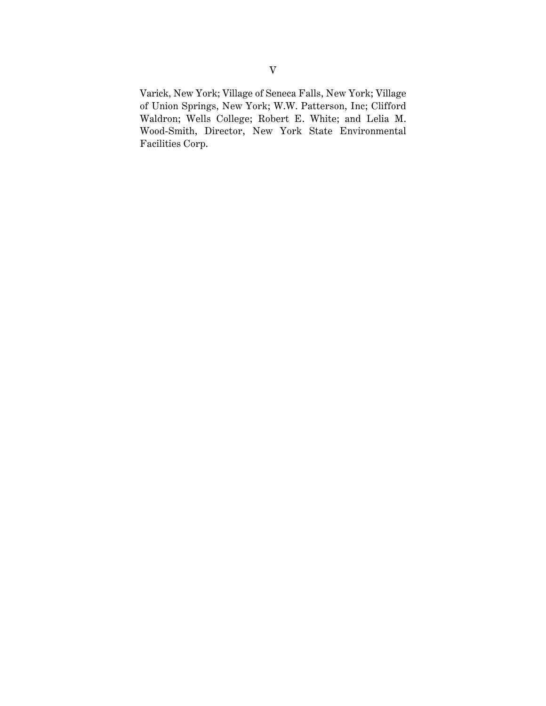Varick, New York; Village of Seneca Falls, New York; Village of Union Springs, New York; W.W. Patterson, Inc; Clifford Waldron; Wells College; Robert E. White; and Lelia M. Wood-Smith, Director, New York State Environmental Facilities Corp.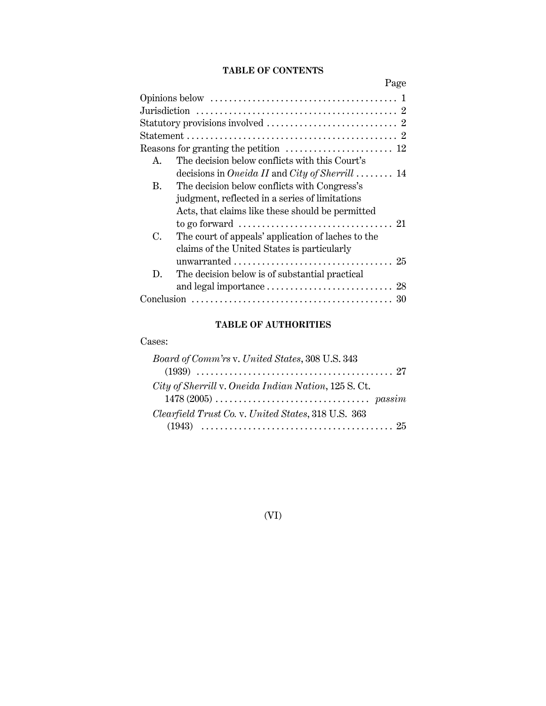## **TABLE OF CONTENTS**

|                                                                            | Page |
|----------------------------------------------------------------------------|------|
|                                                                            |      |
|                                                                            |      |
|                                                                            |      |
|                                                                            |      |
| Reasons for granting the petition $\dots\dots\dots\dots\dots\dots\dots$ 12 |      |
| The decision below conflicts with this Court's<br>$A_{-}$                  |      |
| decisions in <i>Oneida II</i> and <i>City of Sherrill</i> 14               |      |
| The decision below conflicts with Congress's<br>B.                         |      |
| judgment, reflected in a series of limitations                             |      |
| Acts, that claims like these should be permitted                           |      |
|                                                                            |      |
| C.<br>The court of appeals' application of laches to the                   |      |
| claims of the United States is particularly                                |      |
|                                                                            |      |
| D.<br>The decision below is of substantial practical                       |      |
|                                                                            |      |
|                                                                            |      |

## **TABLE OF AUTHORITIES**

## Cases:

| Board of Comm'rs v. United States, 308 U.S. 343      |
|------------------------------------------------------|
| City of Sherrill v. Oneida Indian Nation, 125 S. Ct. |
|                                                      |
| Clearfield Trust Co. v. United States, 318 U.S. 363  |

# (VI)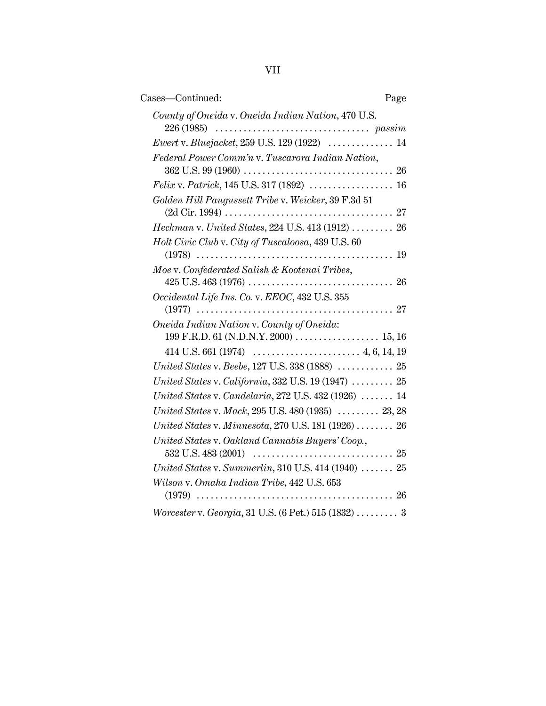| Cases—Continued:<br>Page                                                  |  |
|---------------------------------------------------------------------------|--|
| County of Oneida v. Oneida Indian Nation, 470 U.S.                        |  |
| <i>Ewert</i> v. <i>Bluejacket</i> , 259 U.S. 129 (1922)  14               |  |
| Federal Power Comm'n v. Tuscarora Indian Nation,                          |  |
| Felix v. Patrick, 145 U.S. 317 (1892)  16                                 |  |
| Golden Hill Paugussett Tribe v. Weicker, 39 F.3d 51                       |  |
|                                                                           |  |
| Heckman v. United States, 224 U.S. 413 (1912)  26                         |  |
| Holt Civic Club v. City of Tuscaloosa, 439 U.S. 60                        |  |
|                                                                           |  |
| Moe v. Confederated Salish & Kootenai Tribes,                             |  |
| Occidental Life Ins. Co. v. EEOC, 432 U.S. 355                            |  |
| Oneida Indian Nation v. County of Oneida:                                 |  |
|                                                                           |  |
|                                                                           |  |
| United States v. Beebe, 127 U.S. 338 (1888)  25                           |  |
| United States v. California, 332 U.S. 19 (1947) $\ldots \ldots \ldots$ 25 |  |
| United States v. Candelaria, 272 U.S. 432 (1926)  14                      |  |
| United States v. Mack, 295 U.S. 480 (1935)  23, 28                        |  |
| United States v. Minnesota, 270 U.S. 181 (1926)  26                       |  |
| United States v. Oakland Cannabis Buyers' Coop.,                          |  |
| United States v. Summerlin, 310 U.S. 414 (1940)  25                       |  |
| Wilson v. Omaha Indian Tribe, 442 U.S. 653                                |  |
|                                                                           |  |
| Worcester v. Georgia, 31 U.S. (6 Pet.) 515 (1832)  3                      |  |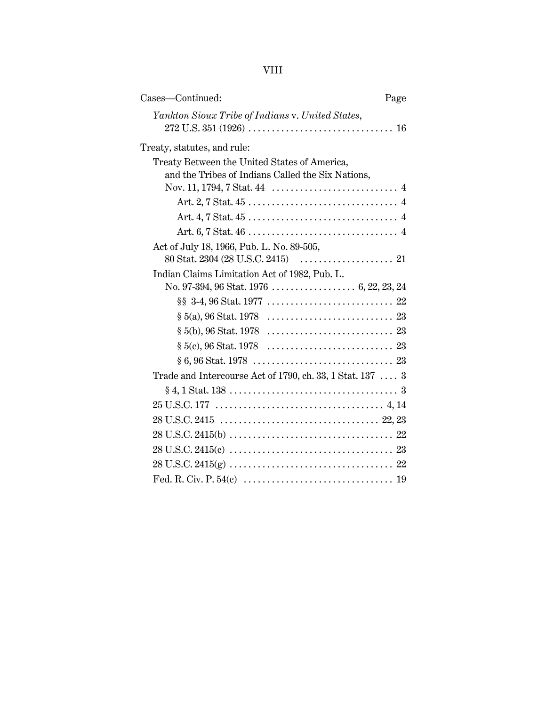|--|

| Cases-Continued:                                                                                        | Page |
|---------------------------------------------------------------------------------------------------------|------|
| Yankton Sioux Tribe of Indians v. United States,                                                        |      |
| Treaty, statutes, and rule:                                                                             |      |
| Treaty Between the United States of America,<br>and the Tribes of Indians Called the Six Nations,       |      |
|                                                                                                         |      |
|                                                                                                         |      |
|                                                                                                         |      |
| Act of July 18, 1966, Pub. L. No. 89-505,                                                               |      |
| Indian Claims Limitation Act of 1982, Pub. L.                                                           |      |
|                                                                                                         |      |
|                                                                                                         |      |
|                                                                                                         |      |
|                                                                                                         |      |
|                                                                                                         |      |
| $\S~6,96~{\rm Stat.}~1978~\ldots\ldots\ldots\ldots\ldots\ldots\ldots\ldots\ldots\ldots\ldots\ldots\ 23$ |      |
| Trade and Intercourse Act of 1790, ch. 33, 1 Stat. $1373$                                               |      |
|                                                                                                         |      |
|                                                                                                         |      |
|                                                                                                         |      |
|                                                                                                         |      |
|                                                                                                         |      |
|                                                                                                         |      |
|                                                                                                         |      |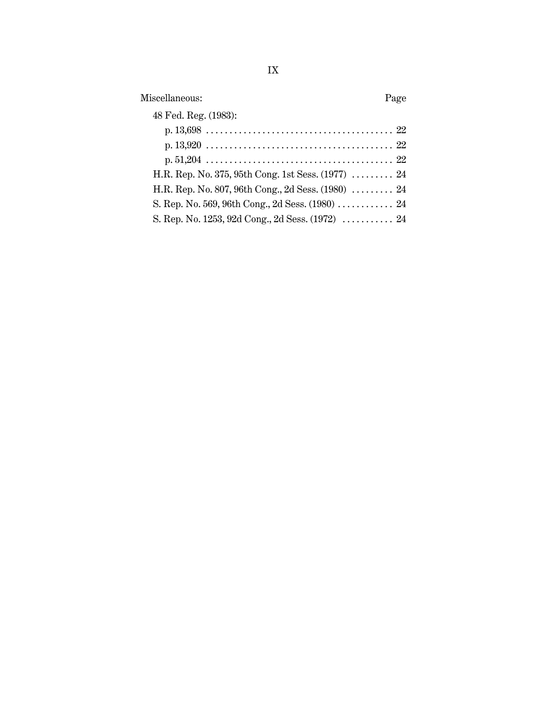| 48 Fed. Reg. (1983):<br>H.R. Rep. No. 375, 95th Cong. 1st Sess. (1977)  24<br>H.R. Rep. No. 807, 96th Cong., 2d Sess. (1980)  24 |
|----------------------------------------------------------------------------------------------------------------------------------|
|                                                                                                                                  |
|                                                                                                                                  |
|                                                                                                                                  |
|                                                                                                                                  |
|                                                                                                                                  |
|                                                                                                                                  |
| S. Rep. No. 569, 96th Cong., 2d Sess. (1980)  24                                                                                 |
| S. Rep. No. 1253, 92d Cong., 2d Sess. (1972)  24                                                                                 |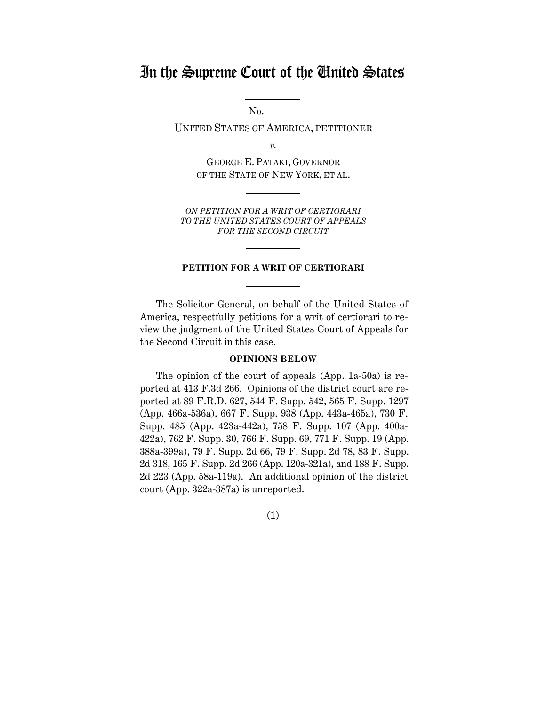# In the Supreme Court of the United States

No.

UNITED STATES OF AMERICA, PETITIONER

*v.*

GEORGE E. PATAKI, GOVERNOR OF THE STATE OF NEW YORK, ET AL.

*ON PETITION FOR A WRIT OF CERTIORARI TO THE UNITED STATES COURT OF APPEALS FOR THE SECOND CIRCUIT*

#### **PETITION FOR A WRIT OF CERTIORARI**

The Solicitor General, on behalf of the United States of America, respectfully petitions for a writ of certiorari to review the judgment of the United States Court of Appeals for the Second Circuit in this case.

### **OPINIONS BELOW**

The opinion of the court of appeals (App. 1a-50a) is reported at 413 F.3d 266. Opinions of the district court are reported at 89 F.R.D. 627, 544 F. Supp. 542, 565 F. Supp. 1297 (App. 466a-536a), 667 F. Supp. 938 (App. 443a-465a), 730 F. Supp. 485 (App. 423a-442a), 758 F. Supp. 107 (App. 400a-422a), 762 F. Supp. 30, 766 F. Supp. 69, 771 F. Supp. 19 (App. 388a-399a), 79 F. Supp. 2d 66, 79 F. Supp. 2d 78, 83 F. Supp. 2d 318, 165 F. Supp. 2d 266 (App. 120a-321a), and 188 F. Supp. 2d 223 (App. 58a-119a). An additional opinion of the district court (App. 322a-387a) is unreported.

(1)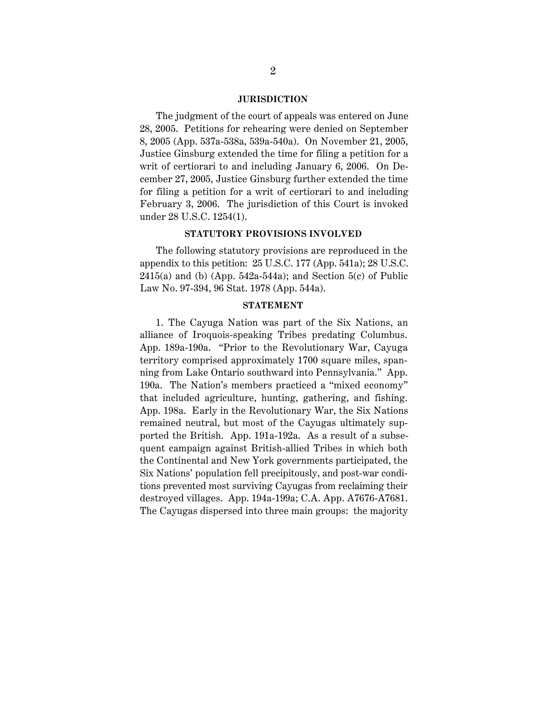#### **JURISDICTION**

The judgment of the court of appeals was entered on June 28, 2005. Petitions for rehearing were denied on September 8, 2005 (App. 537a-538a, 539a-540a). On November 21, 2005, Justice Ginsburg extended the time for filing a petition for a writ of certiorari to and including January 6, 2006. On December 27, 2005, Justice Ginsburg further extended the time for filing a petition for a writ of certiorari to and including February 3, 2006. The jurisdiction of this Court is invoked under 28 U.S.C. 1254(1).

#### **STATUTORY PROVISIONS INVOLVED**

The following statutory provisions are reproduced in the appendix to this petition: 25 U.S.C. 177 (App. 541a); 28 U.S.C.  $2415(a)$  and (b) (App.  $542a-544a$ ); and Section  $5(c)$  of Public Law No. 97-394, 96 Stat. 1978 (App. 544a).

#### **STATEMENT**

1. The Cayuga Nation was part of the Six Nations, an alliance of Iroquois-speaking Tribes predating Columbus. App. 189a-190a. "Prior to the Revolutionary War, Cayuga territory comprised approximately 1700 square miles, spanning from Lake Ontario southward into Pennsylvania." App. 190a. The Nation's members practiced a "mixed economy" that included agriculture, hunting, gathering, and fishing. App. 198a. Early in the Revolutionary War, the Six Nations remained neutral, but most of the Cayugas ultimately supported the British. App. 191a-192a. As a result of a subsequent campaign against British-allied Tribes in which both the Continental and New York governments participated, the Six Nations' population fell precipitously, and post-war conditions prevented most surviving Cayugas from reclaiming their destroyed villages. App. 194a-199a; C.A. App. A7676-A7681. The Cayugas dispersed into three main groups: the majority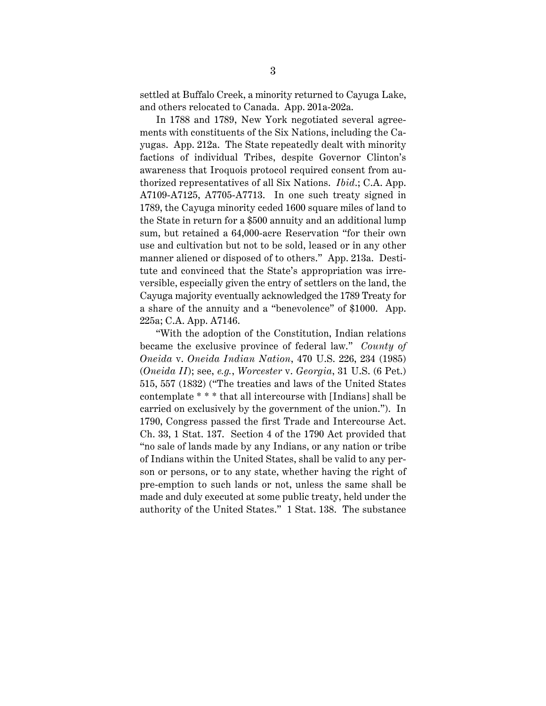settled at Buffalo Creek, a minority returned to Cayuga Lake, and others relocated to Canada. App. 201a-202a.

In 1788 and 1789, New York negotiated several agreements with constituents of the Six Nations, including the Cayugas. App. 212a. The State repeatedly dealt with minority factions of individual Tribes, despite Governor Clinton's awareness that Iroquois protocol required consent from authorized representatives of all Six Nations. *Ibid*.; C.A. App. A7109-A7125, A7705-A7713. In one such treaty signed in 1789, the Cayuga minority ceded 1600 square miles of land to the State in return for a \$500 annuity and an additional lump sum, but retained a 64,000-acre Reservation "for their own use and cultivation but not to be sold, leased or in any other manner aliened or disposed of to others." App. 213a. Destitute and convinced that the State's appropriation was irreversible, especially given the entry of settlers on the land, the Cayuga majority eventually acknowledged the 1789 Treaty for a share of the annuity and a "benevolence" of \$1000. App. 225a; C.A. App. A7146.

"With the adoption of the Constitution, Indian relations became the exclusive province of federal law." *County of Oneida* v. *Oneida Indian Nation*, 470 U.S. 226, 234 (1985) (*Oneida II*); see, *e.g.*, *Worcester* v. *Georgia*, 31 U.S. (6 Pet.) 515, 557 (1832) ("The treaties and laws of the United States contemplate \* \* \* that all intercourse with [Indians] shall be carried on exclusively by the government of the union."). In 1790, Congress passed the first Trade and Intercourse Act. Ch. 33, 1 Stat. 137. Section 4 of the 1790 Act provided that "no sale of lands made by any Indians, or any nation or tribe of Indians within the United States, shall be valid to any person or persons, or to any state, whether having the right of pre-emption to such lands or not, unless the same shall be made and duly executed at some public treaty, held under the authority of the United States." 1 Stat. 138. The substance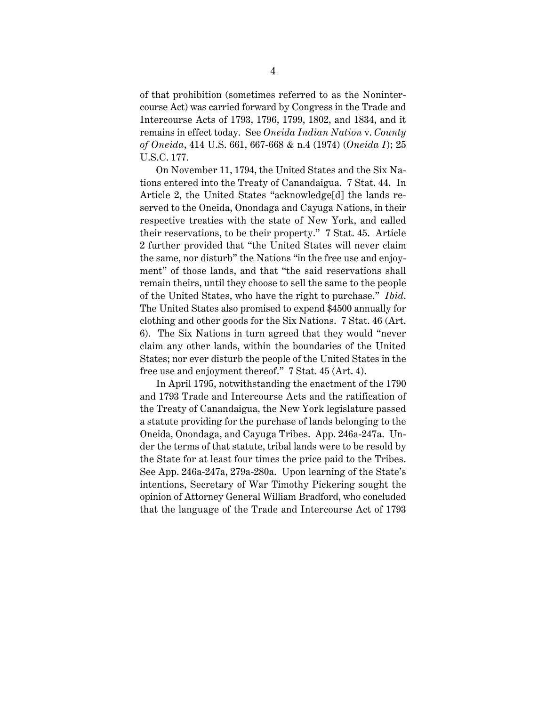of that prohibition (sometimes referred to as the Nonintercourse Act) was carried forward by Congress in the Trade and Intercourse Acts of 1793, 1796, 1799, 1802, and 1834, and it remains in effect today. See *Oneida Indian Nation* v. *County of Oneida*, 414 U.S. 661, 667-668 & n.4 (1974) (*Oneida I*); 25 U.S.C. 177.

On November 11, 1794, the United States and the Six Nations entered into the Treaty of Canandaigua. 7 Stat. 44. In Article 2, the United States "acknowledge[d] the lands reserved to the Oneida, Onondaga and Cayuga Nations, in their respective treaties with the state of New York, and called their reservations, to be their property." 7 Stat. 45. Article 2 further provided that "the United States will never claim the same, nor disturb" the Nations "in the free use and enjoyment" of those lands, and that "the said reservations shall remain theirs, until they choose to sell the same to the people of the United States, who have the right to purchase." *Ibid*. The United States also promised to expend \$4500 annually for clothing and other goods for the Six Nations. 7 Stat. 46 (Art. 6). The Six Nations in turn agreed that they would "never claim any other lands, within the boundaries of the United States; nor ever disturb the people of the United States in the free use and enjoyment thereof." 7 Stat. 45 (Art. 4).

In April 1795, notwithstanding the enactment of the 1790 and 1793 Trade and Intercourse Acts and the ratification of the Treaty of Canandaigua, the New York legislature passed a statute providing for the purchase of lands belonging to the Oneida, Onondaga, and Cayuga Tribes. App. 246a-247a. Under the terms of that statute, tribal lands were to be resold by the State for at least four times the price paid to the Tribes. See App. 246a-247a, 279a-280a. Upon learning of the State's intentions, Secretary of War Timothy Pickering sought the opinion of Attorney General William Bradford, who concluded that the language of the Trade and Intercourse Act of 1793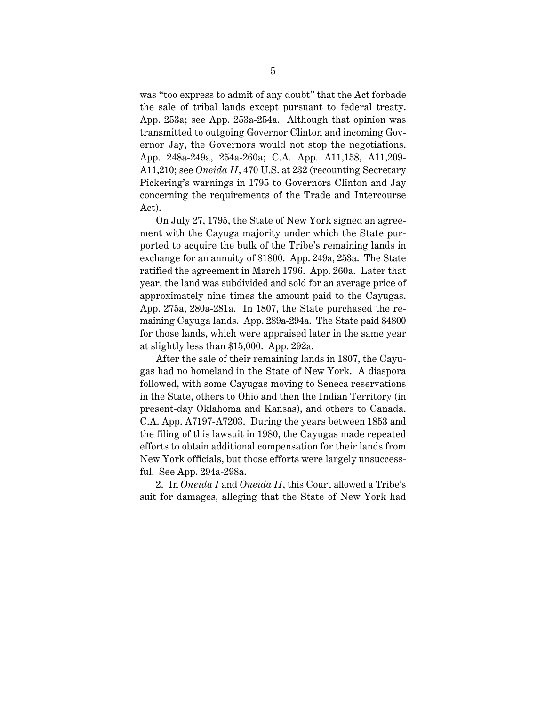was "too express to admit of any doubt" that the Act forbade the sale of tribal lands except pursuant to federal treaty. App. 253a; see App. 253a-254a. Although that opinion was transmitted to outgoing Governor Clinton and incoming Governor Jay, the Governors would not stop the negotiations. App. 248a-249a, 254a-260a; C.A. App. A11,158, A11,209- A11,210; see *Oneida II*, 470 U.S. at 232 (recounting Secretary Pickering's warnings in 1795 to Governors Clinton and Jay concerning the requirements of the Trade and Intercourse Act).

On July 27, 1795, the State of New York signed an agreement with the Cayuga majority under which the State purported to acquire the bulk of the Tribe's remaining lands in exchange for an annuity of \$1800. App. 249a, 253a. The State ratified the agreement in March 1796. App. 260a. Later that year, the land was subdivided and sold for an average price of approximately nine times the amount paid to the Cayugas. App. 275a, 280a-281a. In 1807, the State purchased the remaining Cayuga lands. App. 289a-294a. The State paid \$4800 for those lands, which were appraised later in the same year at slightly less than \$15,000. App. 292a.

After the sale of their remaining lands in 1807, the Cayugas had no homeland in the State of New York. A diaspora followed, with some Cayugas moving to Seneca reservations in the State, others to Ohio and then the Indian Territory (in present-day Oklahoma and Kansas), and others to Canada. C.A. App. A7197-A7203. During the years between 1853 and the filing of this lawsuit in 1980, the Cayugas made repeated efforts to obtain additional compensation for their lands from New York officials, but those efforts were largely unsuccessful. See App. 294a-298a.

2. In *Oneida I* and *Oneida II*, this Court allowed a Tribe's suit for damages, alleging that the State of New York had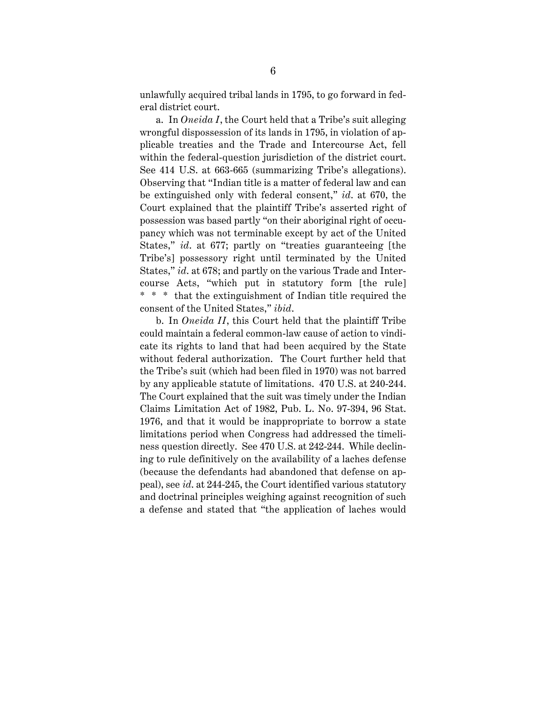unlawfully acquired tribal lands in 1795, to go forward in federal district court.

a. In *Oneida I*, the Court held that a Tribe's suit alleging wrongful dispossession of its lands in 1795, in violation of applicable treaties and the Trade and Intercourse Act, fell within the federal-question jurisdiction of the district court. See 414 U.S. at 663-665 (summarizing Tribe's allegations). Observing that "Indian title is a matter of federal law and can be extinguished only with federal consent," *id*. at 670, the Court explained that the plaintiff Tribe's asserted right of possession was based partly "on their aboriginal right of occupancy which was not terminable except by act of the United States," *id*. at 677; partly on "treaties guaranteeing [the Tribe's] possessory right until terminated by the United States," *id*. at 678; and partly on the various Trade and Intercourse Acts, "which put in statutory form [the rule] \* \* \* that the extinguishment of Indian title required the consent of the United States," *ibid*.

b. In *Oneida II*, this Court held that the plaintiff Tribe could maintain a federal common-law cause of action to vindicate its rights to land that had been acquired by the State without federal authorization. The Court further held that the Tribe's suit (which had been filed in 1970) was not barred by any applicable statute of limitations. 470 U.S. at 240-244. The Court explained that the suit was timely under the Indian Claims Limitation Act of 1982, Pub. L. No. 97-394, 96 Stat. 1976, and that it would be inappropriate to borrow a state limitations period when Congress had addressed the timeliness question directly. See 470 U.S. at 242-244. While declining to rule definitively on the availability of a laches defense (because the defendants had abandoned that defense on appeal), see *id*. at 244-245, the Court identified various statutory and doctrinal principles weighing against recognition of such a defense and stated that "the application of laches would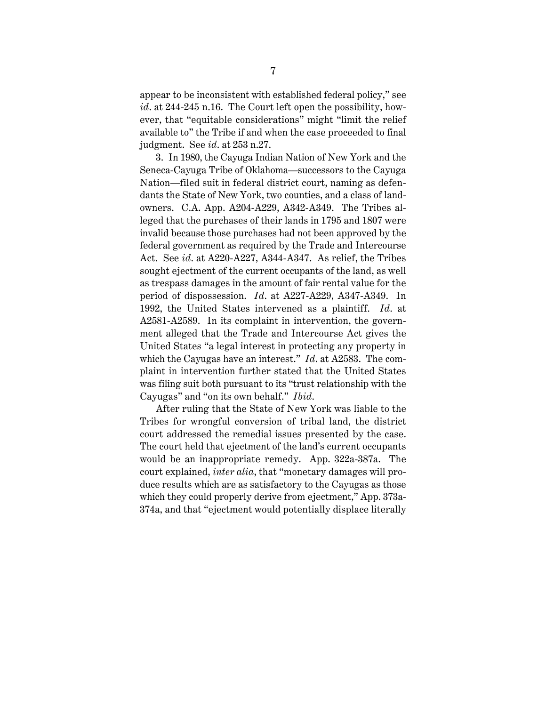appear to be inconsistent with established federal policy," see *id*. at 244-245 n.16. The Court left open the possibility, however, that "equitable considerations" might "limit the relief available to" the Tribe if and when the case proceeded to final judgment. See *id*. at 253 n.27.

3. In 1980, the Cayuga Indian Nation of New York and the Seneca-Cayuga Tribe of Oklahoma—successors to the Cayuga Nation—filed suit in federal district court, naming as defendants the State of New York, two counties, and a class of landowners. C.A. App. A204-A229, A342-A349. The Tribes alleged that the purchases of their lands in 1795 and 1807 were invalid because those purchases had not been approved by the federal government as required by the Trade and Intercourse Act. See *id*. at A220-A227, A344-A347. As relief, the Tribes sought ejectment of the current occupants of the land, as well as trespass damages in the amount of fair rental value for the period of dispossession. *Id*. at A227-A229, A347-A349. In 1992, the United States intervened as a plaintiff. *Id*. at A2581-A2589. In its complaint in intervention, the government alleged that the Trade and Intercourse Act gives the United States "a legal interest in protecting any property in which the Cayugas have an interest." *Id*. at A2583. The complaint in intervention further stated that the United States was filing suit both pursuant to its "trust relationship with the Cayugas" and "on its own behalf." *Ibid*.

After ruling that the State of New York was liable to the Tribes for wrongful conversion of tribal land, the district court addressed the remedial issues presented by the case. The court held that ejectment of the land's current occupants would be an inappropriate remedy. App. 322a-387a. The court explained, *inter alia*, that "monetary damages will produce results which are as satisfactory to the Cayugas as those which they could properly derive from ejectment," App. 373a-374a, and that "ejectment would potentially displace literally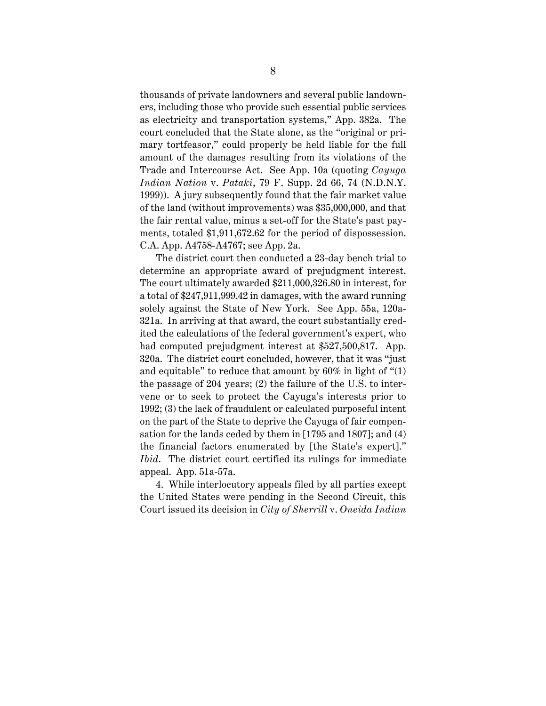thousands of private landowners and several public landowners, including those who provide such essential public services as electricity and transportation systems," App. 382a. The court concluded that the State alone, as the "original or primary tortfeasor," could properly be held liable for the full amount of the damages resulting from its violations of the Trade and Intercourse Act. See App. 10a (quoting *Cayuga Indian Nation* v. *Pataki*, 79 F. Supp. 2d 66, 74 (N.D.N.Y. 1999)). A jury subsequently found that the fair market value of the land (without improvements) was \$35,000,000, and that the fair rental value, minus a set-off for the State's past payments, totaled \$1,911,672.62 for the period of dispossession. C.A. App. A4758-A4767; see App. 2a.

The district court then conducted a 23-day bench trial to determine an appropriate award of prejudgment interest. The court ultimately awarded \$211,000,326.80 in interest, for a total of \$247,911,999.42 in damages, with the award running solely against the State of New York. See App. 55a, 120a-321a. In arriving at that award, the court substantially credited the calculations of the federal government's expert, who had computed prejudgment interest at \$527,500,817. App. 320a. The district court concluded, however, that it was "just and equitable" to reduce that amount by 60% in light of "(1) the passage of 204 years; (2) the failure of the U.S. to intervene or to seek to protect the Cayuga's interests prior to 1992; (3) the lack of fraudulent or calculated purposeful intent on the part of the State to deprive the Cayuga of fair compensation for the lands ceded by them in [1795 and 1807]; and (4) the financial factors enumerated by [the State's expert]." *Ibid*. The district court certified its rulings for immediate appeal. App. 51a-57a.

4. While interlocutory appeals filed by all parties except the United States were pending in the Second Circuit, this Court issued its decision in *City of Sherrill* v. *Oneida Indian*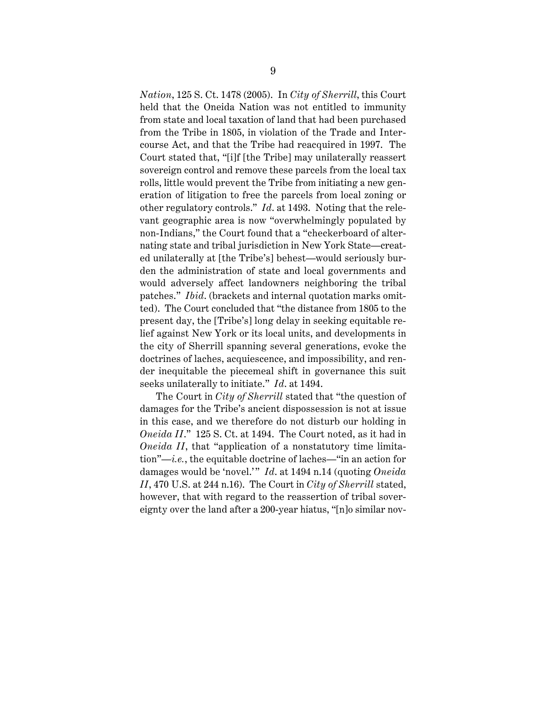*Nation*, 125 S. Ct. 1478 (2005). In *City of Sherrill*, this Court held that the Oneida Nation was not entitled to immunity from state and local taxation of land that had been purchased from the Tribe in 1805, in violation of the Trade and Intercourse Act, and that the Tribe had reacquired in 1997. The Court stated that, "[i]f [the Tribe] may unilaterally reassert sovereign control and remove these parcels from the local tax rolls, little would prevent the Tribe from initiating a new generation of litigation to free the parcels from local zoning or other regulatory controls." *Id*. at 1493. Noting that the relevant geographic area is now "overwhelmingly populated by non-Indians," the Court found that a "checkerboard of alternating state and tribal jurisdiction in New York State—created unilaterally at [the Tribe's] behest—would seriously burden the administration of state and local governments and would adversely affect landowners neighboring the tribal patches." *Ibid*. (brackets and internal quotation marks omitted). The Court concluded that "the distance from 1805 to the present day, the [Tribe's] long delay in seeking equitable relief against New York or its local units, and developments in the city of Sherrill spanning several generations, evoke the doctrines of laches, acquiescence, and impossibility, and render inequitable the piecemeal shift in governance this suit seeks unilaterally to initiate." *Id*. at 1494.

The Court in *City of Sherrill* stated that "the question of damages for the Tribe's ancient dispossession is not at issue in this case, and we therefore do not disturb our holding in *Oneida II*." 125 S. Ct. at 1494. The Court noted, as it had in *Oneida II*, that "application of a nonstatutory time limitation"—*i.e.*, the equitable doctrine of laches—"in an action for damages would be 'novel.'" *Id*. at 1494 n.14 (quoting *Oneida II*, 470 U.S. at 244 n.16). The Court in *City of Sherrill* stated, however, that with regard to the reassertion of tribal sovereignty over the land after a 200-year hiatus, "[n]o similar nov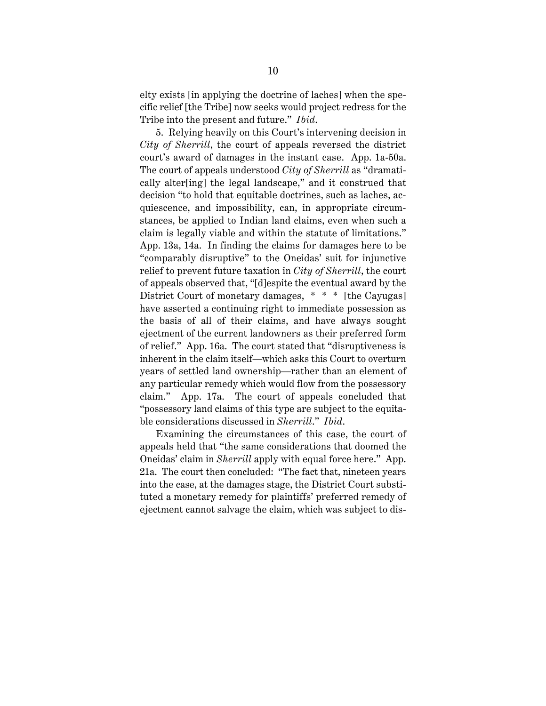elty exists [in applying the doctrine of laches] when the specific relief [the Tribe] now seeks would project redress for the Tribe into the present and future." *Ibid*.

5. Relying heavily on this Court's intervening decision in *City of Sherrill*, the court of appeals reversed the district court's award of damages in the instant case. App. 1a-50a. The court of appeals understood *City of Sherrill* as "dramatically alter[ing] the legal landscape," and it construed that decision "to hold that equitable doctrines, such as laches, acquiescence, and impossibility, can, in appropriate circumstances, be applied to Indian land claims, even when such a claim is legally viable and within the statute of limitations." App. 13a, 14a. In finding the claims for damages here to be "comparably disruptive" to the Oneidas' suit for injunctive relief to prevent future taxation in *City of Sherrill*, the court of appeals observed that, "[d]espite the eventual award by the District Court of monetary damages, \* \* \* [the Cayugas] have asserted a continuing right to immediate possession as the basis of all of their claims, and have always sought ejectment of the current landowners as their preferred form of relief." App. 16a. The court stated that "disruptiveness is inherent in the claim itself—which asks this Court to overturn years of settled land ownership—rather than an element of any particular remedy which would flow from the possessory claim." App. 17a. The court of appeals concluded that "possessory land claims of this type are subject to the equitable considerations discussed in *Sherrill*." *Ibid*.

Examining the circumstances of this case, the court of appeals held that "the same considerations that doomed the Oneidas' claim in *Sherrill* apply with equal force here." App. 21a. The court then concluded: "The fact that, nineteen years into the case, at the damages stage, the District Court substituted a monetary remedy for plaintiffs' preferred remedy of ejectment cannot salvage the claim, which was subject to dis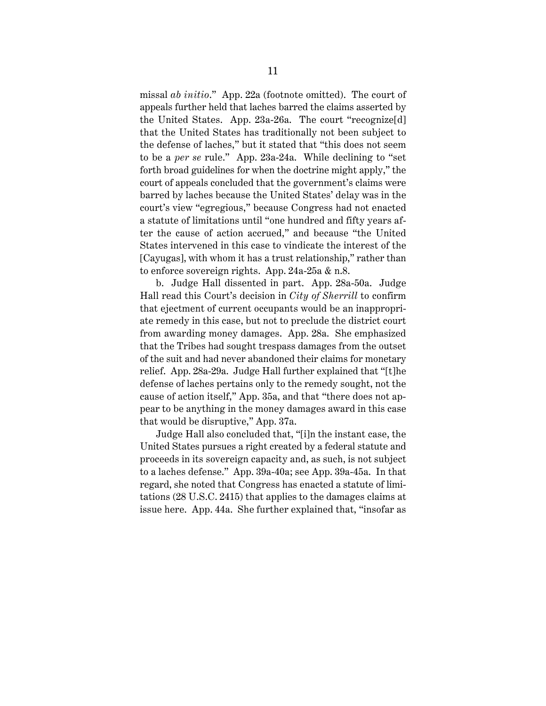missal *ab initio*." App. 22a (footnote omitted). The court of appeals further held that laches barred the claims asserted by the United States. App. 23a-26a. The court "recognize[d] that the United States has traditionally not been subject to the defense of laches," but it stated that "this does not seem to be a *per se* rule." App. 23a-24a. While declining to "set forth broad guidelines for when the doctrine might apply," the court of appeals concluded that the government's claims were barred by laches because the United States' delay was in the court's view "egregious," because Congress had not enacted a statute of limitations until "one hundred and fifty years after the cause of action accrued," and because "the United States intervened in this case to vindicate the interest of the [Cayugas], with whom it has a trust relationship," rather than to enforce sovereign rights. App. 24a-25a & n.8.

b. Judge Hall dissented in part. App. 28a-50a. Judge Hall read this Court's decision in *City of Sherrill* to confirm that ejectment of current occupants would be an inappropriate remedy in this case, but not to preclude the district court from awarding money damages. App. 28a. She emphasized that the Tribes had sought trespass damages from the outset of the suit and had never abandoned their claims for monetary relief. App. 28a-29a. Judge Hall further explained that "[t]he defense of laches pertains only to the remedy sought, not the cause of action itself," App. 35a, and that "there does not appear to be anything in the money damages award in this case that would be disruptive," App. 37a.

Judge Hall also concluded that, "[i]n the instant case, the United States pursues a right created by a federal statute and proceeds in its sovereign capacity and, as such, is not subject to a laches defense." App. 39a-40a; see App. 39a-45a. In that regard, she noted that Congress has enacted a statute of limitations (28 U.S.C. 2415) that applies to the damages claims at issue here. App. 44a. She further explained that, "insofar as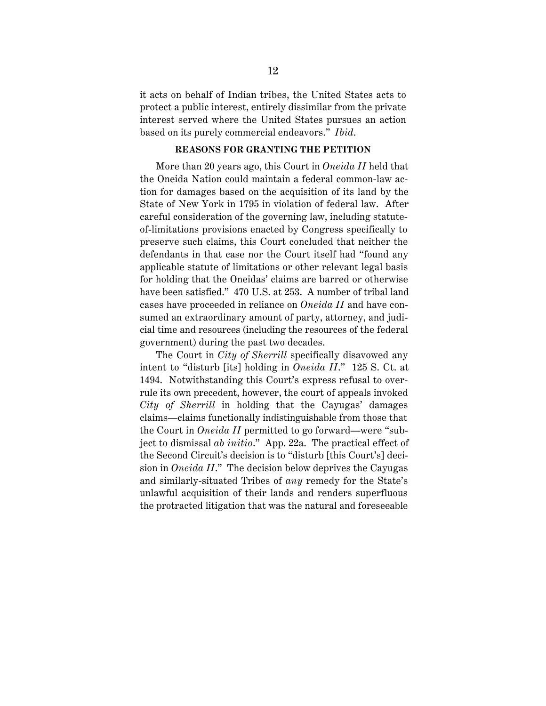it acts on behalf of Indian tribes, the United States acts to protect a public interest, entirely dissimilar from the private interest served where the United States pursues an action based on its purely commercial endeavors." *Ibid*.

### **REASONS FOR GRANTING THE PETITION**

More than 20 years ago, this Court in *Oneida II* held that the Oneida Nation could maintain a federal common-law action for damages based on the acquisition of its land by the State of New York in 1795 in violation of federal law. After careful consideration of the governing law, including statuteof-limitations provisions enacted by Congress specifically to preserve such claims, this Court concluded that neither the defendants in that case nor the Court itself had "found any applicable statute of limitations or other relevant legal basis for holding that the Oneidas' claims are barred or otherwise have been satisfied." 470 U.S. at 253. A number of tribal land cases have proceeded in reliance on *Oneida II* and have consumed an extraordinary amount of party, attorney, and judicial time and resources (including the resources of the federal government) during the past two decades.

The Court in *City of Sherrill* specifically disavowed any intent to "disturb [its] holding in *Oneida II*." 125 S. Ct. at 1494. Notwithstanding this Court's express refusal to overrule its own precedent, however, the court of appeals invoked *City of Sherrill* in holding that the Cayugas' damages claims—claims functionally indistinguishable from those that the Court in *Oneida II* permitted to go forward—were "subject to dismissal *ab initio*." App. 22a. The practical effect of the Second Circuit's decision is to "disturb [this Court's] decision in *Oneida II*." The decision below deprives the Cayugas and similarly-situated Tribes of *any* remedy for the State's unlawful acquisition of their lands and renders superfluous the protracted litigation that was the natural and foreseeable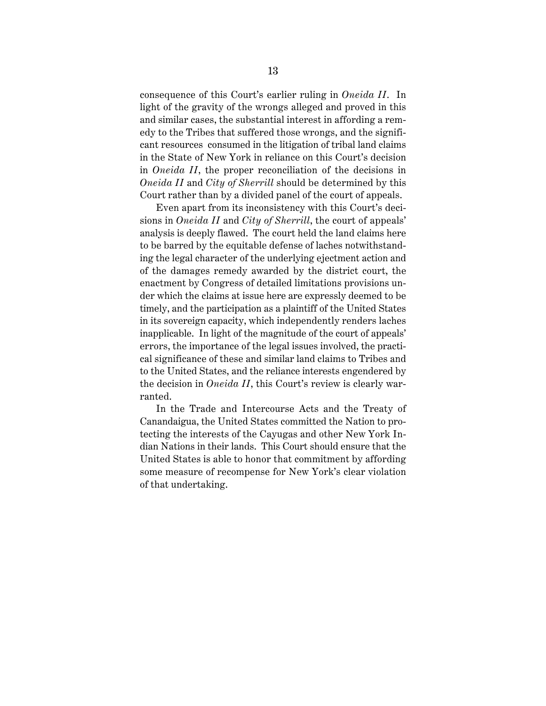consequence of this Court's earlier ruling in *Oneida II*. In light of the gravity of the wrongs alleged and proved in this and similar cases, the substantial interest in affording a remedy to the Tribes that suffered those wrongs, and the significant resources consumed in the litigation of tribal land claims in the State of New York in reliance on this Court's decision in *Oneida II*, the proper reconciliation of the decisions in *Oneida II* and *City of Sherrill* should be determined by this Court rather than by a divided panel of the court of appeals.

Even apart from its inconsistency with this Court's decisions in *Oneida II* and *City of Sherrill*, the court of appeals' analysis is deeply flawed. The court held the land claims here to be barred by the equitable defense of laches notwithstanding the legal character of the underlying ejectment action and of the damages remedy awarded by the district court, the enactment by Congress of detailed limitations provisions under which the claims at issue here are expressly deemed to be timely, and the participation as a plaintiff of the United States in its sovereign capacity, which independently renders laches inapplicable. In light of the magnitude of the court of appeals' errors, the importance of the legal issues involved, the practical significance of these and similar land claims to Tribes and to the United States, and the reliance interests engendered by the decision in *Oneida II*, this Court's review is clearly warranted.

In the Trade and Intercourse Acts and the Treaty of Canandaigua, the United States committed the Nation to protecting the interests of the Cayugas and other New York Indian Nations in their lands. This Court should ensure that the United States is able to honor that commitment by affording some measure of recompense for New York's clear violation of that undertaking.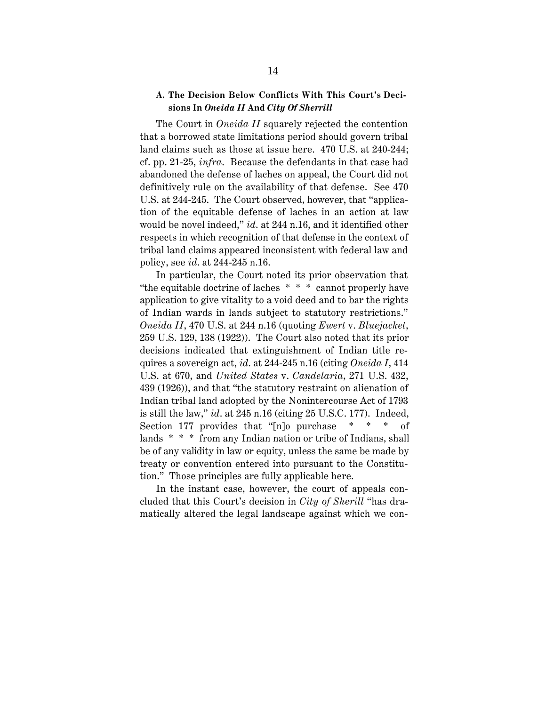### **A. The Decision Below Conflicts With This Court's Decisions In** *Oneida II* **And** *City Of Sherrill*

The Court in *Oneida II* squarely rejected the contention that a borrowed state limitations period should govern tribal land claims such as those at issue here. 470 U.S. at 240-244; cf. pp. 21-25, *infra*. Because the defendants in that case had abandoned the defense of laches on appeal, the Court did not definitively rule on the availability of that defense. See 470 U.S. at 244-245. The Court observed, however, that "application of the equitable defense of laches in an action at law would be novel indeed," *id*. at 244 n.16, and it identified other respects in which recognition of that defense in the context of tribal land claims appeared inconsistent with federal law and policy, see *id*. at 244-245 n.16.

In particular, the Court noted its prior observation that "the equitable doctrine of laches \* \* \* cannot properly have application to give vitality to a void deed and to bar the rights of Indian wards in lands subject to statutory restrictions." *Oneida II*, 470 U.S. at 244 n.16 (quoting *Ewert* v. *Bluejacket*, 259 U.S. 129, 138 (1922)). The Court also noted that its prior decisions indicated that extinguishment of Indian title requires a sovereign act, *id*. at 244-245 n.16 (citing *Oneida I*, 414 U.S. at 670, and *United States* v. *Candelaria*, 271 U.S. 432, 439 (1926)), and that "the statutory restraint on alienation of Indian tribal land adopted by the Nonintercourse Act of 1793 is still the law," *id*. at 245 n.16 (citing 25 U.S.C. 177). Indeed, Section 177 provides that "[n]o purchase  $* * *$ lands \* \* \* from any Indian nation or tribe of Indians, shall be of any validity in law or equity, unless the same be made by treaty or convention entered into pursuant to the Constitution." Those principles are fully applicable here.

In the instant case, however, the court of appeals concluded that this Court's decision in *City of Sherill* "has dramatically altered the legal landscape against which we con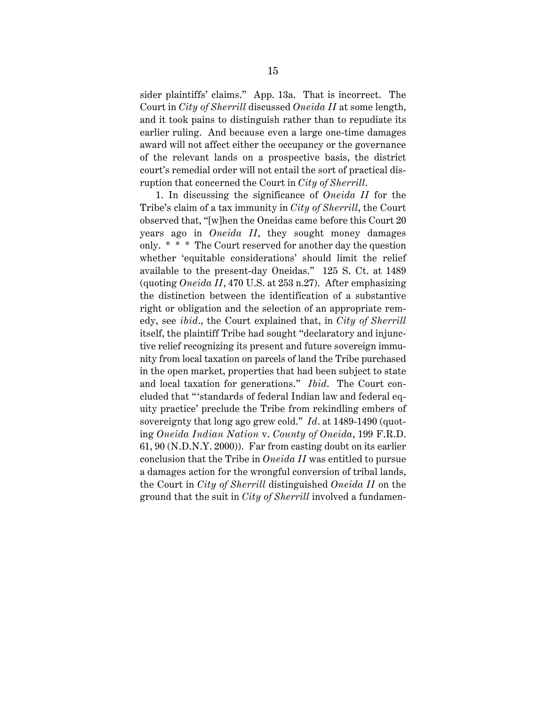sider plaintiffs' claims." App. 13a. That is incorrect. The Court in *City of Sherrill* discussed *Oneida II* at some length, and it took pains to distinguish rather than to repudiate its earlier ruling. And because even a large one-time damages award will not affect either the occupancy or the governance of the relevant lands on a prospective basis, the district court's remedial order will not entail the sort of practical disruption that concerned the Court in *City of Sherrill*.

1. In discussing the significance of *Oneida II* for the Tribe's claim of a tax immunity in *City of Sherrill*, the Court observed that, "[w]hen the Oneidas came before this Court 20 years ago in *Oneida II*, they sought money damages only. \* \* \* The Court reserved for another day the question whether 'equitable considerations' should limit the relief available to the present-day Oneidas." 125 S. Ct. at 1489 (quoting *Oneida II*, 470 U.S. at 253 n.27). After emphasizing the distinction between the identification of a substantive right or obligation and the selection of an appropriate remedy, see *ibid*., the Court explained that, in *City of Sherrill* itself, the plaintiff Tribe had sought "declaratory and injunctive relief recognizing its present and future sovereign immunity from local taxation on parcels of land the Tribe purchased in the open market, properties that had been subject to state and local taxation for generations." *Ibid*. The Court concluded that "'standards of federal Indian law and federal equity practice' preclude the Tribe from rekindling embers of sovereignty that long ago grew cold." *Id*. at 1489-1490 (quoting *Oneida Indian Nation* v. *County of Oneida*, 199 F.R.D. 61, 90 (N.D.N.Y. 2000)). Far from casting doubt on its earlier conclusion that the Tribe in *Oneida II* was entitled to pursue a damages action for the wrongful conversion of tribal lands, the Court in *City of Sherrill* distinguished *Oneida II* on the ground that the suit in *City of Sherrill* involved a fundamen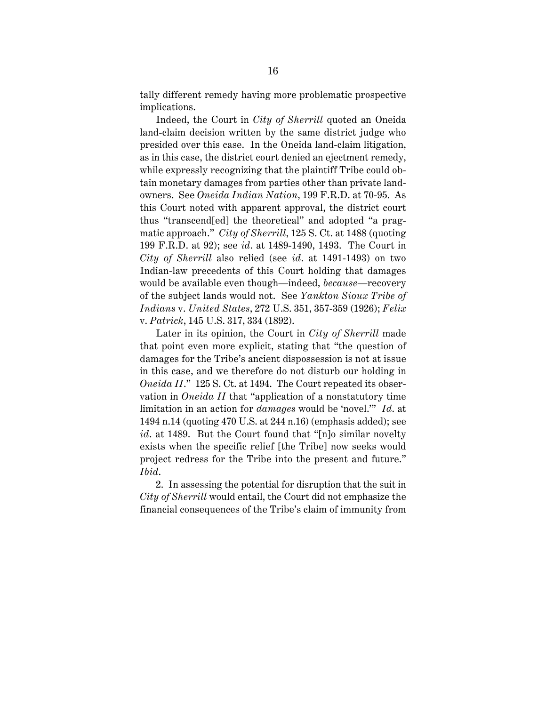tally different remedy having more problematic prospective implications.

Indeed, the Court in *City of Sherrill* quoted an Oneida land-claim decision written by the same district judge who presided over this case. In the Oneida land-claim litigation, as in this case, the district court denied an ejectment remedy, while expressly recognizing that the plaintiff Tribe could obtain monetary damages from parties other than private landowners. See *Oneida Indian Nation*, 199 F.R.D. at 70-95. As this Court noted with apparent approval, the district court thus "transcend[ed] the theoretical" and adopted "a pragmatic approach." *City of Sherrill*, 125 S. Ct. at 1488 (quoting 199 F.R.D. at 92); see *id*. at 1489-1490, 1493. The Court in *City of Sherrill* also relied (see *id*. at 1491-1493) on two Indian-law precedents of this Court holding that damages would be available even though—indeed, *because*—recovery of the subject lands would not. See *Yankton Sioux Tribe of Indians* v. *United States*, 272 U.S. 351, 357-359 (1926); *Felix* v. *Patrick*, 145 U.S. 317, 334 (1892).

Later in its opinion, the Court in *City of Sherrill* made that point even more explicit, stating that "the question of damages for the Tribe's ancient dispossession is not at issue in this case, and we therefore do not disturb our holding in *Oneida II*." 125 S. Ct. at 1494. The Court repeated its observation in *Oneida II* that "application of a nonstatutory time limitation in an action for *damages* would be 'novel.'" *Id*. at 1494 n.14 (quoting 470 U.S. at 244 n.16) (emphasis added); see *id*. at 1489. But the Court found that "[n]o similar novelty exists when the specific relief [the Tribe] now seeks would project redress for the Tribe into the present and future." *Ibid*.

2. In assessing the potential for disruption that the suit in *City of Sherrill* would entail, the Court did not emphasize the financial consequences of the Tribe's claim of immunity from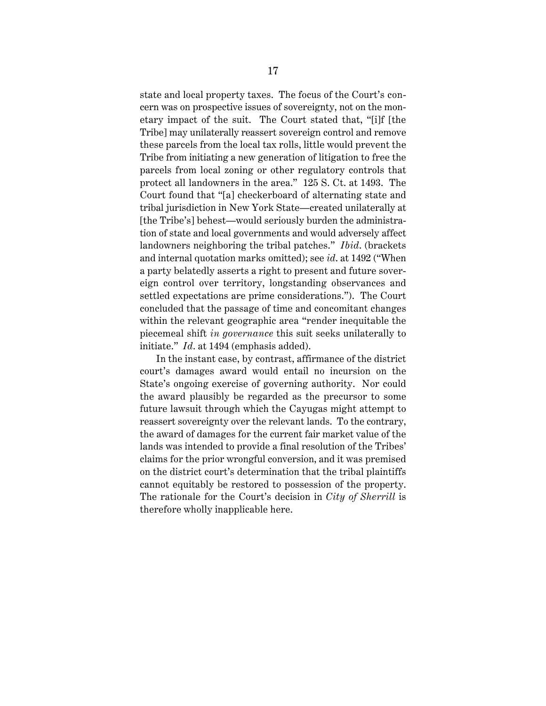state and local property taxes. The focus of the Court's concern was on prospective issues of sovereignty, not on the monetary impact of the suit. The Court stated that, "[i]f [the Tribe] may unilaterally reassert sovereign control and remove these parcels from the local tax rolls, little would prevent the Tribe from initiating a new generation of litigation to free the parcels from local zoning or other regulatory controls that protect all landowners in the area." 125 S. Ct. at 1493. The Court found that "[a] checkerboard of alternating state and tribal jurisdiction in New York State—created unilaterally at [the Tribe's] behest—would seriously burden the administration of state and local governments and would adversely affect landowners neighboring the tribal patches." *Ibid*. (brackets and internal quotation marks omitted); see *id*. at 1492 ("When a party belatedly asserts a right to present and future sovereign control over territory, longstanding observances and settled expectations are prime considerations."). The Court concluded that the passage of time and concomitant changes within the relevant geographic area "render inequitable the piecemeal shift *in governance* this suit seeks unilaterally to initiate." *Id*. at 1494 (emphasis added).

In the instant case, by contrast, affirmance of the district court's damages award would entail no incursion on the State's ongoing exercise of governing authority. Nor could the award plausibly be regarded as the precursor to some future lawsuit through which the Cayugas might attempt to reassert sovereignty over the relevant lands. To the contrary, the award of damages for the current fair market value of the lands was intended to provide a final resolution of the Tribes' claims for the prior wrongful conversion, and it was premised on the district court's determination that the tribal plaintiffs cannot equitably be restored to possession of the property. The rationale for the Court's decision in *City of Sherrill* is therefore wholly inapplicable here.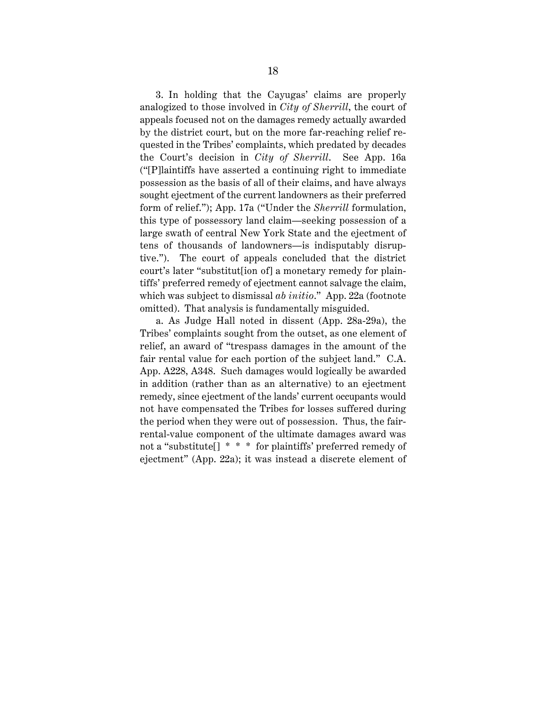3. In holding that the Cayugas' claims are properly analogized to those involved in *City of Sherrill*, the court of appeals focused not on the damages remedy actually awarded by the district court, but on the more far-reaching relief requested in the Tribes' complaints, which predated by decades the Court's decision in *City of Sherrill*. See App. 16a ("[P]laintiffs have asserted a continuing right to immediate possession as the basis of all of their claims, and have always sought ejectment of the current landowners as their preferred form of relief."); App. 17a ("Under the *Sherrill* formulation, this type of possessory land claim—seeking possession of a large swath of central New York State and the ejectment of tens of thousands of landowners—is indisputably disruptive."). The court of appeals concluded that the district court's later "substitut[ion of] a monetary remedy for plaintiffs' preferred remedy of ejectment cannot salvage the claim, which was subject to dismissal *ab initio*." App. 22a (footnote omitted). That analysis is fundamentally misguided.

a. As Judge Hall noted in dissent (App. 28a-29a), the Tribes' complaints sought from the outset, as one element of relief, an award of "trespass damages in the amount of the fair rental value for each portion of the subject land." C.A. App. A228, A348. Such damages would logically be awarded in addition (rather than as an alternative) to an ejectment remedy, since ejectment of the lands' current occupants would not have compensated the Tribes for losses suffered during the period when they were out of possession. Thus, the fairrental-value component of the ultimate damages award was not a "substitute[] \* \* \* for plaintiffs' preferred remedy of ejectment" (App. 22a); it was instead a discrete element of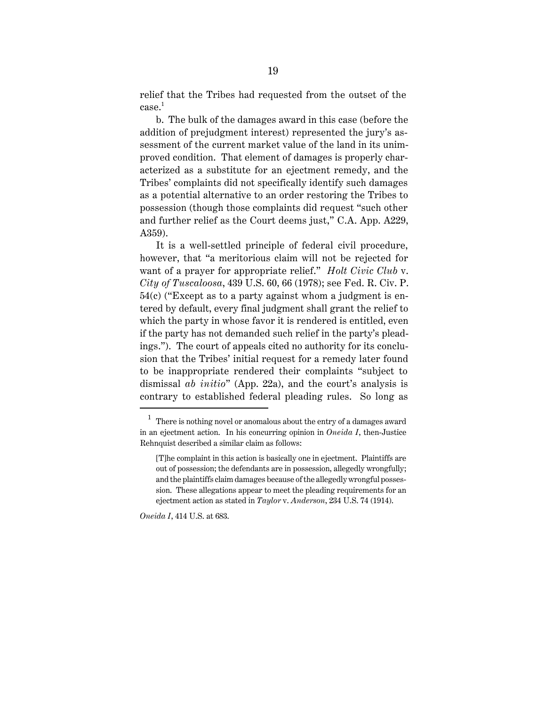relief that the Tribes had requested from the outset of the  $case.<sup>1</sup>$ 

b. The bulk of the damages award in this case (before the addition of prejudgment interest) represented the jury's assessment of the current market value of the land in its unimproved condition. That element of damages is properly characterized as a substitute for an ejectment remedy, and the Tribes' complaints did not specifically identify such damages as a potential alternative to an order restoring the Tribes to possession (though those complaints did request "such other and further relief as the Court deems just," C.A. App. A229, A359).

It is a well-settled principle of federal civil procedure, however, that "a meritorious claim will not be rejected for want of a prayer for appropriate relief." *Holt Civic Club* v. *City of Tuscaloosa*, 439 U.S. 60, 66 (1978); see Fed. R. Civ. P. 54(c) ("Except as to a party against whom a judgment is entered by default, every final judgment shall grant the relief to which the party in whose favor it is rendered is entitled, even if the party has not demanded such relief in the party's pleadings."). The court of appeals cited no authority for its conclusion that the Tribes' initial request for a remedy later found to be inappropriate rendered their complaints "subject to dismissal *ab initio*" (App. 22a), and the court's analysis is contrary to established federal pleading rules. So long as

*Oneida I*, 414 U.S. at 683.

<sup>&</sup>lt;sup>1</sup> There is nothing novel or anomalous about the entry of a damages award in an ejectment action. In his concurring opinion in *Oneida I*, then-Justice Rehnquist described a similar claim as follows:

<sup>[</sup>T]he complaint in this action is basically one in ejectment. Plaintiffs are out of possession; the defendants are in possession, allegedly wrongfully; and the plaintiffs claim damages because of the allegedly wrongful possession. These allegations appear to meet the pleading requirements for an ejectment action as stated in *Taylor* v. *Anderson*, 234 U.S. 74 (1914).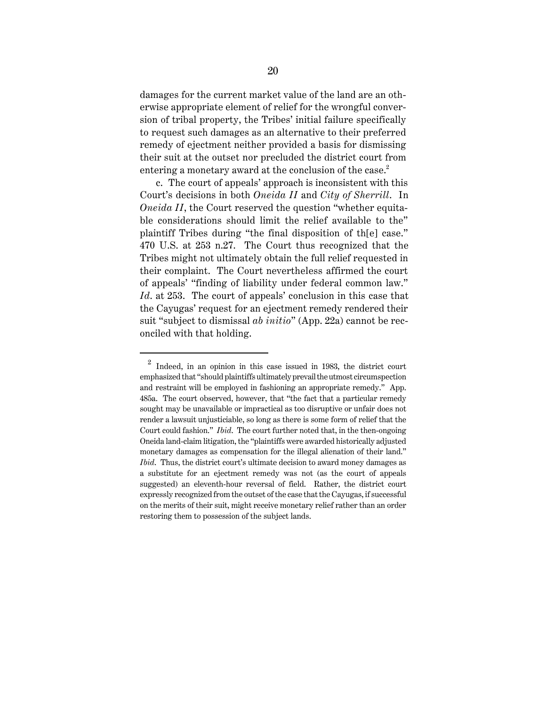damages for the current market value of the land are an otherwise appropriate element of relief for the wrongful conversion of tribal property, the Tribes' initial failure specifically to request such damages as an alternative to their preferred remedy of ejectment neither provided a basis for dismissing their suit at the outset nor precluded the district court from entering a monetary award at the conclusion of the case.<sup>2</sup>

c. The court of appeals' approach is inconsistent with this Court's decisions in both *Oneida II* and *City of Sherrill*. In *Oneida II*, the Court reserved the question "whether equitable considerations should limit the relief available to the" plaintiff Tribes during "the final disposition of th[e] case." 470 U.S. at 253 n.27. The Court thus recognized that the Tribes might not ultimately obtain the full relief requested in their complaint. The Court nevertheless affirmed the court of appeals' "finding of liability under federal common law." *Id*. at 253. The court of appeals' conclusion in this case that the Cayugas' request for an ejectment remedy rendered their suit "subject to dismissal *ab initio*" (App. 22a) cannot be reconciled with that holding.

<sup>2</sup> Indeed, in an opinion in this case issued in 1983, the district court emphasized that "should plaintiffs ultimately prevail the utmost circumspection and restraint will be employed in fashioning an appropriate remedy." App. 485a. The court observed, however, that "the fact that a particular remedy sought may be unavailable or impractical as too disruptive or unfair does not render a lawsuit unjusticiable, so long as there is some form of relief that the Court could fashion." *Ibid*. The court further noted that, in the then-ongoing Oneida land-claim litigation, the "plaintiffs were awarded historically adjusted monetary damages as compensation for the illegal alienation of their land." *Ibid*. Thus, the district court's ultimate decision to award money damages as a substitute for an ejectment remedy was not (as the court of appeals suggested) an eleventh-hour reversal of field. Rather, the district court expressly recognized from the outset of the case that the Cayugas, if successful on the merits of their suit, might receive monetary relief rather than an order restoring them to possession of the subject lands.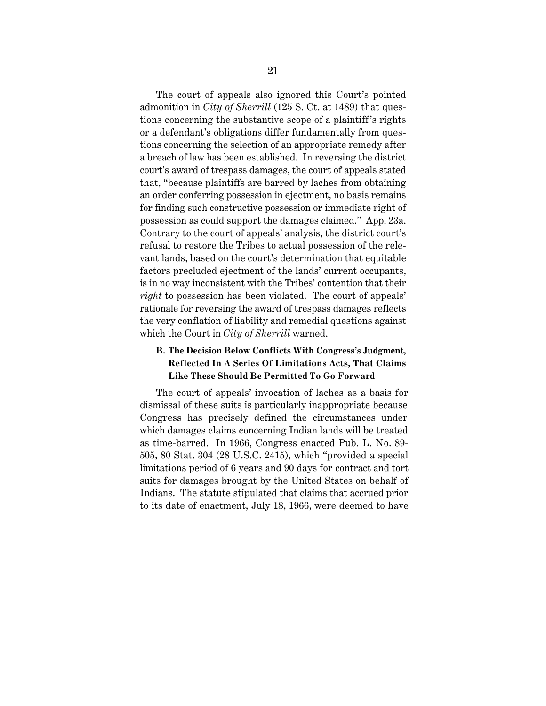The court of appeals also ignored this Court's pointed admonition in *City of Sherrill* (125 S. Ct. at 1489) that questions concerning the substantive scope of a plaintiff's rights or a defendant's obligations differ fundamentally from questions concerning the selection of an appropriate remedy after a breach of law has been established. In reversing the district court's award of trespass damages, the court of appeals stated that, "because plaintiffs are barred by laches from obtaining an order conferring possession in ejectment, no basis remains for finding such constructive possession or immediate right of possession as could support the damages claimed." App. 23a. Contrary to the court of appeals' analysis, the district court's refusal to restore the Tribes to actual possession of the relevant lands, based on the court's determination that equitable factors precluded ejectment of the lands' current occupants, is in no way inconsistent with the Tribes' contention that their *right* to possession has been violated. The court of appeals' rationale for reversing the award of trespass damages reflects the very conflation of liability and remedial questions against which the Court in *City of Sherrill* warned.

## **B. The Decision Below Conflicts With Congress's Judgment, Reflected In A Series Of Limitations Acts, That Claims Like These Should Be Permitted To Go Forward**

The court of appeals' invocation of laches as a basis for dismissal of these suits is particularly inappropriate because Congress has precisely defined the circumstances under which damages claims concerning Indian lands will be treated as time-barred. In 1966, Congress enacted Pub. L. No. 89- 505, 80 Stat. 304 (28 U.S.C. 2415), which "provided a special limitations period of 6 years and 90 days for contract and tort suits for damages brought by the United States on behalf of Indians. The statute stipulated that claims that accrued prior to its date of enactment, July 18, 1966, were deemed to have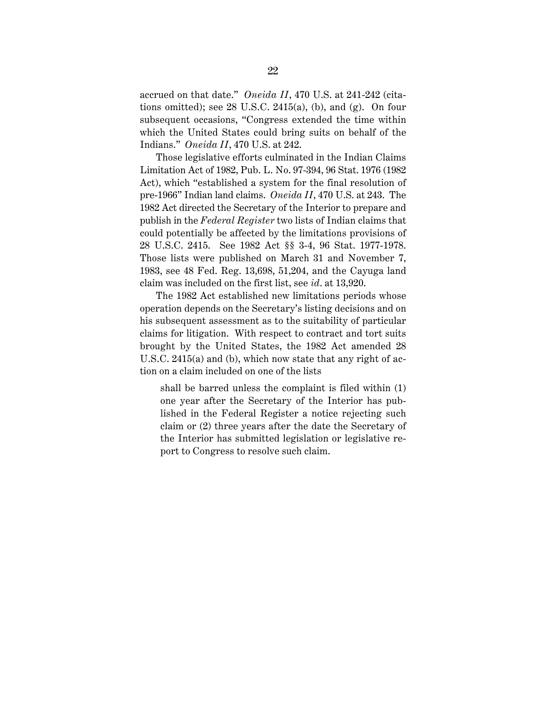accrued on that date." *Oneida II*, 470 U.S. at 241-242 (citations omitted); see  $28 \text{ U.S.C. } 2415(a)$ , (b), and (g). On four subsequent occasions, "Congress extended the time within which the United States could bring suits on behalf of the Indians." *Oneida II*, 470 U.S. at 242.

Those legislative efforts culminated in the Indian Claims Limitation Act of 1982, Pub. L. No. 97-394, 96 Stat. 1976 (1982 Act), which "established a system for the final resolution of pre-1966" Indian land claims. *Oneida II*, 470 U.S. at 243. The 1982 Act directed the Secretary of the Interior to prepare and publish in the *Federal Register* two lists of Indian claims that could potentially be affected by the limitations provisions of 28 U.S.C. 2415. See 1982 Act §§ 3-4, 96 Stat. 1977-1978. Those lists were published on March 31 and November 7, 1983, see 48 Fed. Reg. 13,698, 51,204, and the Cayuga land claim was included on the first list, see *id*. at 13,920.

The 1982 Act established new limitations periods whose operation depends on the Secretary's listing decisions and on his subsequent assessment as to the suitability of particular claims for litigation. With respect to contract and tort suits brought by the United States, the 1982 Act amended 28 U.S.C. 2415(a) and (b), which now state that any right of action on a claim included on one of the lists

shall be barred unless the complaint is filed within (1) one year after the Secretary of the Interior has published in the Federal Register a notice rejecting such claim or (2) three years after the date the Secretary of the Interior has submitted legislation or legislative report to Congress to resolve such claim.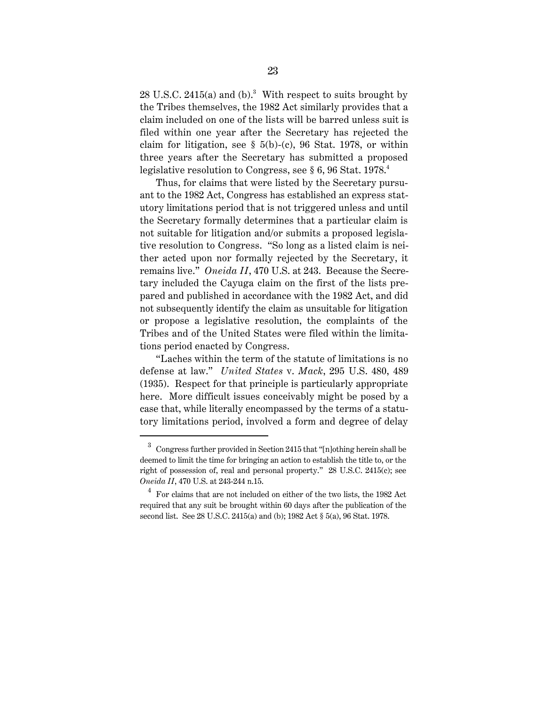28 U.S.C. 2415(a) and (b).<sup>3</sup> With respect to suits brought by the Tribes themselves, the 1982 Act similarly provides that a claim included on one of the lists will be barred unless suit is filed within one year after the Secretary has rejected the claim for litigation, see  $\S$  5(b)-(c), 96 Stat. 1978, or within three years after the Secretary has submitted a proposed legislative resolution to Congress, see § 6, 96 Stat. 1978.<sup>4</sup>

Thus, for claims that were listed by the Secretary pursuant to the 1982 Act, Congress has established an express statutory limitations period that is not triggered unless and until the Secretary formally determines that a particular claim is not suitable for litigation and/or submits a proposed legislative resolution to Congress. "So long as a listed claim is neither acted upon nor formally rejected by the Secretary, it remains live." *Oneida II*, 470 U.S. at 243. Because the Secretary included the Cayuga claim on the first of the lists prepared and published in accordance with the 1982 Act, and did not subsequently identify the claim as unsuitable for litigation or propose a legislative resolution, the complaints of the Tribes and of the United States were filed within the limitations period enacted by Congress.

"Laches within the term of the statute of limitations is no defense at law." *United States* v. *Mack*, 295 U.S. 480, 489 (1935). Respect for that principle is particularly appropriate here. More difficult issues conceivably might be posed by a case that, while literally encompassed by the terms of a statutory limitations period, involved a form and degree of delay

 $^3 \;$  Congress further provided in Section 2415 that "[n]othing herein shall be deemed to limit the time for bringing an action to establish the title to, or the right of possession of, real and personal property." 28 U.S.C. 2415(c); see *Oneida II*, 470 U.S. at 243-244 n.15.

<sup>4</sup> For claims that are not included on either of the two lists, the 1982 Act required that any suit be brought within 60 days after the publication of the second list. See 28 U.S.C. 2415(a) and (b); 1982 Act § 5(a), 96 Stat. 1978.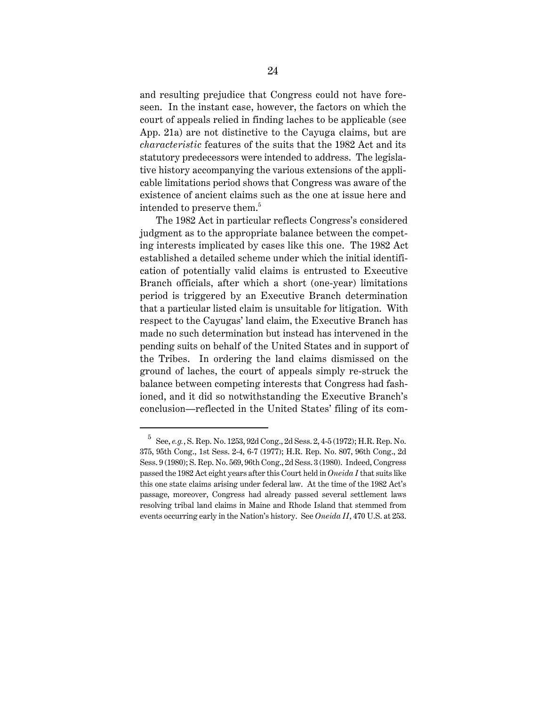and resulting prejudice that Congress could not have foreseen. In the instant case, however, the factors on which the court of appeals relied in finding laches to be applicable (see App. 21a) are not distinctive to the Cayuga claims, but are *characteristic* features of the suits that the 1982 Act and its statutory predecessors were intended to address. The legislative history accompanying the various extensions of the applicable limitations period shows that Congress was aware of the existence of ancient claims such as the one at issue here and intended to preserve them.<sup>5</sup>

The 1982 Act in particular reflects Congress's considered judgment as to the appropriate balance between the competing interests implicated by cases like this one. The 1982 Act established a detailed scheme under which the initial identification of potentially valid claims is entrusted to Executive Branch officials, after which a short (one-year) limitations period is triggered by an Executive Branch determination that a particular listed claim is unsuitable for litigation. With respect to the Cayugas' land claim, the Executive Branch has made no such determination but instead has intervened in the pending suits on behalf of the United States and in support of the Tribes. In ordering the land claims dismissed on the ground of laches, the court of appeals simply re-struck the balance between competing interests that Congress had fashioned, and it did so notwithstanding the Executive Branch's conclusion—reflected in the United States' filing of its com-

<sup>5</sup> See, *e.g.*, S. Rep. No. 1253, 92d Cong., 2d Sess. 2, 4-5 (1972); H.R. Rep. No. 375, 95th Cong., 1st Sess. 2-4, 6-7 (1977); H.R. Rep. No. 807, 96th Cong., 2d Sess. 9 (1980); S. Rep. No. 569, 96th Cong., 2d Sess. 3 (1980). Indeed, Congress passed the 1982 Act eight years after this Court held in *Oneida I* that suits like this one state claims arising under federal law. At the time of the 1982 Act's passage, moreover, Congress had already passed several settlement laws resolving tribal land claims in Maine and Rhode Island that stemmed from events occurring early in the Nation's history. See *Oneida II*, 470 U.S. at 253.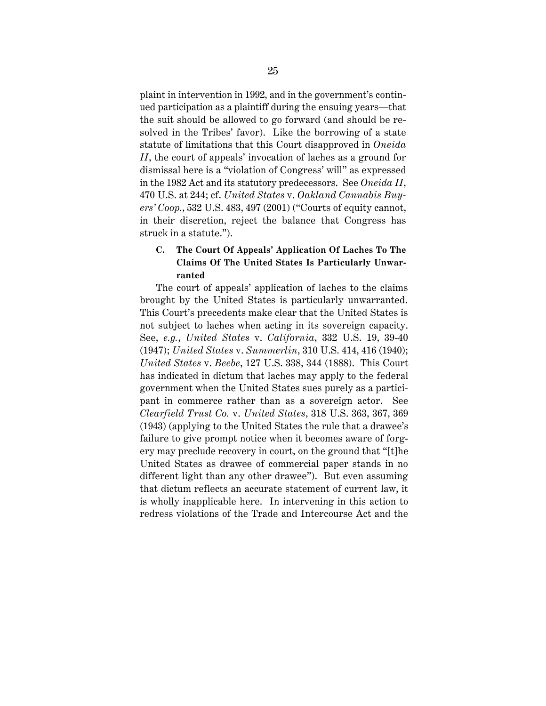plaint in intervention in 1992, and in the government's continued participation as a plaintiff during the ensuing years—that the suit should be allowed to go forward (and should be resolved in the Tribes' favor). Like the borrowing of a state statute of limitations that this Court disapproved in *Oneida II*, the court of appeals' invocation of laches as a ground for dismissal here is a "violation of Congress' will" as expressed in the 1982 Act and its statutory predecessors. See *Oneida II*, 470 U.S. at 244; cf. *United States* v. *Oakland Cannabis Buyers' Coop.*, 532 U.S. 483, 497 (2001) ("Courts of equity cannot, in their discretion, reject the balance that Congress has struck in a statute.").

## **C. The Court Of Appeals' Application Of Laches To The Claims Of The United States Is Particularly Unwarranted**

The court of appeals' application of laches to the claims brought by the United States is particularly unwarranted. This Court's precedents make clear that the United States is not subject to laches when acting in its sovereign capacity. See, *e.g.*, *United States* v. *California*, 332 U.S. 19, 39-40 (1947); *United States* v. *Summerlin*, 310 U.S. 414, 416 (1940); *United States* v. *Beebe*, 127 U.S. 338, 344 (1888). This Court has indicated in dictum that laches may apply to the federal government when the United States sues purely as a participant in commerce rather than as a sovereign actor. See *Clearfield Trust Co.* v. *United States*, 318 U.S. 363, 367, 369 (1943) (applying to the United States the rule that a drawee's failure to give prompt notice when it becomes aware of forgery may preclude recovery in court, on the ground that "[t]he United States as drawee of commercial paper stands in no different light than any other drawee"). But even assuming that dictum reflects an accurate statement of current law, it is wholly inapplicable here. In intervening in this action to redress violations of the Trade and Intercourse Act and the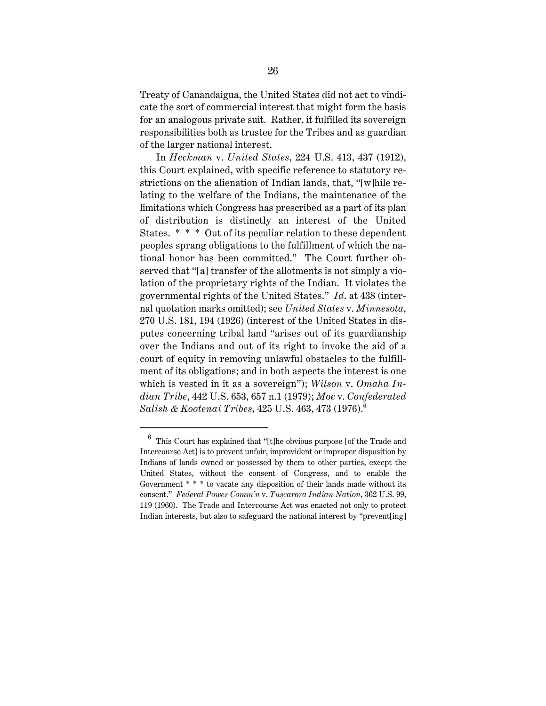Treaty of Canandaigua, the United States did not act to vindicate the sort of commercial interest that might form the basis for an analogous private suit. Rather, it fulfilled its sovereign responsibilities both as trustee for the Tribes and as guardian of the larger national interest.

In *Heckman* v. *United States*, 224 U.S. 413, 437 (1912), this Court explained, with specific reference to statutory restrictions on the alienation of Indian lands, that, "[w]hile relating to the welfare of the Indians, the maintenance of the limitations which Congress has prescribed as a part of its plan of distribution is distinctly an interest of the United States. \* \* \* Out of its peculiar relation to these dependent peoples sprang obligations to the fulfillment of which the national honor has been committed." The Court further observed that "[a] transfer of the allotments is not simply a violation of the proprietary rights of the Indian. It violates the governmental rights of the United States." *Id*. at 438 (internal quotation marks omitted); see *United States* v. *Minnesota*, 270 U.S. 181, 194 (1926) (interest of the United States in disputes concerning tribal land "arises out of its guardianship over the Indians and out of its right to invoke the aid of a court of equity in removing unlawful obstacles to the fulfillment of its obligations; and in both aspects the interest is one which is vested in it as a sovereign"); *Wilson* v. *Omaha Indian Tribe*, 442 U.S. 653, 657 n.1 (1979); *Moe* v. *Confederated Salish & Kootenai Tribes*, 425 U.S. 463, 473 (1976).<sup>6</sup>

 $^6\,$  This Court has explained that "[t]he obvious purpose [of the Trade and Intercourse Act] is to prevent unfair, improvident or improper disposition by Indians of lands owned or possessed by them to other parties, except the United States, without the consent of Congress, and to enable the Government \* \* \* to vacate any disposition of their lands made without its consent." *Federal Power Comm'n* v. *Tuscarora Indian Nation*, 362 U.S. 99, 119 (1960). The Trade and Intercourse Act was enacted not only to protect Indian interests, but also to safeguard the national interest by "prevent[ing]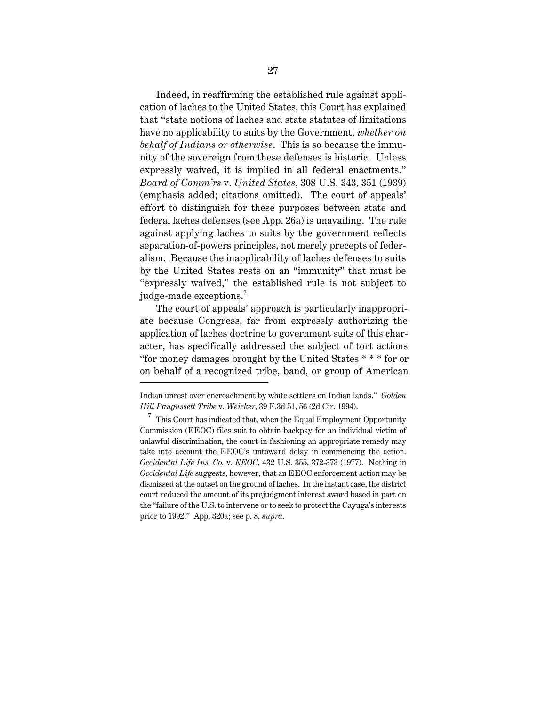Indeed, in reaffirming the established rule against application of laches to the United States, this Court has explained that "state notions of laches and state statutes of limitations have no applicability to suits by the Government, *whether on behalf of Indians or otherwise*. This is so because the immunity of the sovereign from these defenses is historic. Unless expressly waived, it is implied in all federal enactments." *Board of Comm'rs* v. *United States*, 308 U.S. 343, 351 (1939) (emphasis added; citations omitted). The court of appeals' effort to distinguish for these purposes between state and federal laches defenses (see App. 26a) is unavailing. The rule against applying laches to suits by the government reflects separation-of-powers principles, not merely precepts of federalism. Because the inapplicability of laches defenses to suits by the United States rests on an "immunity" that must be "expressly waived," the established rule is not subject to judge-made exceptions.<sup>7</sup>

The court of appeals' approach is particularly inappropriate because Congress, far from expressly authorizing the application of laches doctrine to government suits of this character, has specifically addressed the subject of tort actions "for money damages brought by the United States \* \* \* for or on behalf of a recognized tribe, band, or group of American

Indian unrest over encroachment by white settlers on Indian lands." *Golden Hill Paugussett Tribe* v. *Weicker*, 39 F.3d 51, 56 (2d Cir. 1994).

 $7$  This Court has indicated that, when the Equal Employment Opportunity Commission (EEOC) files suit to obtain backpay for an individual victim of unlawful discrimination, the court in fashioning an appropriate remedy may take into account the EEOC's untoward delay in commencing the action. *Occidental Life Ins. Co.* v. *EEOC*, 432 U.S. 355, 372-373 (1977). Nothing in *Occidental Life* suggests, however, that an EEOC enforcement action may be dismissed at the outset on the ground of laches. In the instant case, the district court reduced the amount of its prejudgment interest award based in part on the "failure of the U.S. to intervene or to seek to protect the Cayuga's interests prior to 1992." App. 320a; see p. 8, *supra*.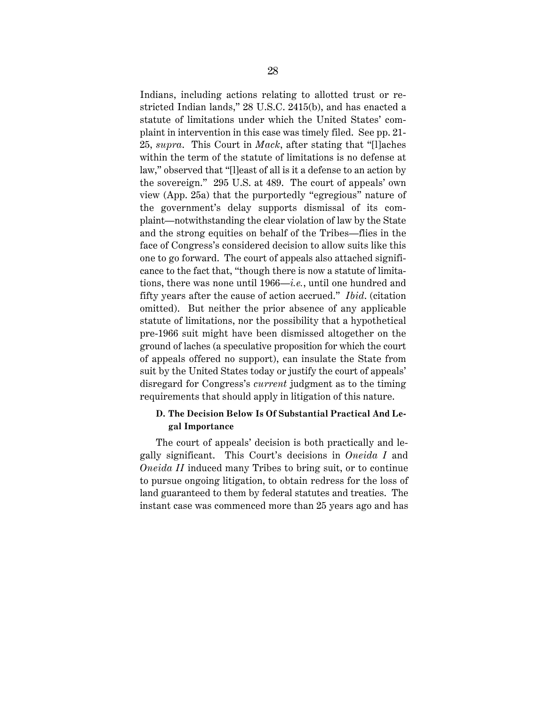Indians, including actions relating to allotted trust or restricted Indian lands," 28 U.S.C. 2415(b), and has enacted a statute of limitations under which the United States' complaint in intervention in this case was timely filed. See pp. 21- 25, *supra*. This Court in *Mack*, after stating that "[l]aches within the term of the statute of limitations is no defense at law," observed that "[l]east of all is it a defense to an action by the sovereign." 295 U.S. at 489. The court of appeals' own view (App. 25a) that the purportedly "egregious" nature of the government's delay supports dismissal of its complaint—notwithstanding the clear violation of law by the State and the strong equities on behalf of the Tribes—flies in the face of Congress's considered decision to allow suits like this one to go forward. The court of appeals also attached significance to the fact that, "though there is now a statute of limitations, there was none until 1966—*i.e.*, until one hundred and fifty years after the cause of action accrued." *Ibid*. (citation omitted). But neither the prior absence of any applicable statute of limitations, nor the possibility that a hypothetical pre-1966 suit might have been dismissed altogether on the ground of laches (a speculative proposition for which the court of appeals offered no support), can insulate the State from suit by the United States today or justify the court of appeals' disregard for Congress's *current* judgment as to the timing requirements that should apply in litigation of this nature.

## **D. The Decision Below Is Of Substantial Practical And Legal Importance**

The court of appeals' decision is both practically and legally significant. This Court's decisions in *Oneida I* and *Oneida II* induced many Tribes to bring suit, or to continue to pursue ongoing litigation, to obtain redress for the loss of land guaranteed to them by federal statutes and treaties. The instant case was commenced more than 25 years ago and has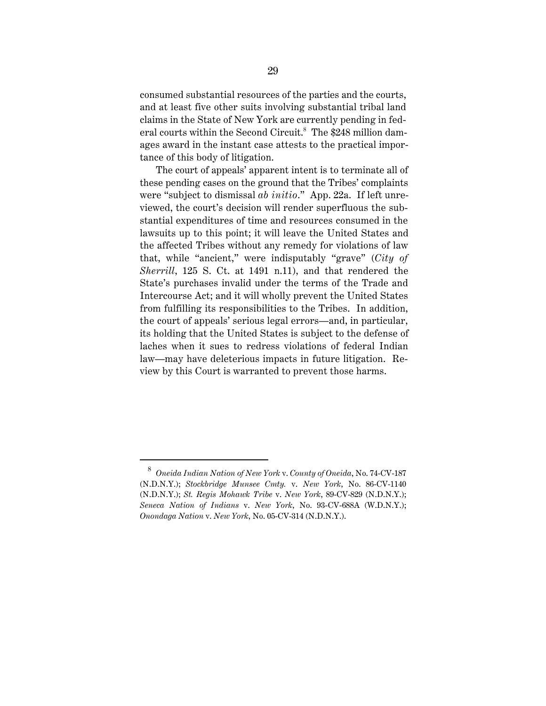consumed substantial resources of the parties and the courts, and at least five other suits involving substantial tribal land claims in the State of New York are currently pending in federal courts within the Second Circuit.<sup>8</sup> The \$248 million damages award in the instant case attests to the practical importance of this body of litigation.

The court of appeals' apparent intent is to terminate all of these pending cases on the ground that the Tribes' complaints were "subject to dismissal *ab initio*." App. 22a. If left unreviewed, the court's decision will render superfluous the substantial expenditures of time and resources consumed in the lawsuits up to this point; it will leave the United States and the affected Tribes without any remedy for violations of law that, while "ancient," were indisputably "grave" (*City of Sherrill*, 125 S. Ct. at 1491 n.11), and that rendered the State's purchases invalid under the terms of the Trade and Intercourse Act; and it will wholly prevent the United States from fulfilling its responsibilities to the Tribes. In addition, the court of appeals' serious legal errors—and, in particular, its holding that the United States is subject to the defense of laches when it sues to redress violations of federal Indian law—may have deleterious impacts in future litigation. Review by this Court is warranted to prevent those harms.

<sup>8</sup> *Oneida Indian Nation of New York* v. *County of Oneida*, No. 74-CV-187 (N.D.N.Y.); *Stockbridge Munsee Cmty.* v. *New York*, No. 86-CV-1140 (N.D.N.Y.); *St. Regis Mohawk Tribe* v. *New York*, 89-CV-829 (N.D.N.Y.); *Seneca Nation of Indians* v. *New York*, No. 93-CV-688A (W.D.N.Y.); *Onondaga Nation* v. *New York*, No. 05-CV-314 (N.D.N.Y.).